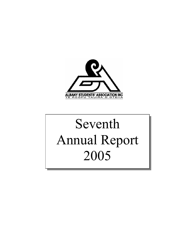

# Seventh Annual Report 2005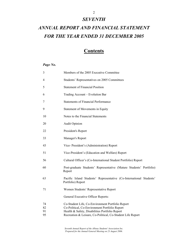### *SEVENTH*

## *ANNUAL REPORT AND FINANCIAL STATEMENT FOR THE YEAR ENDED 31 DECEMBER 2005*

### **Contents**

### *Page No.*

| 3              | Members of the 2005 Executive Committee                                                                                                             |
|----------------|-----------------------------------------------------------------------------------------------------------------------------------------------------|
| 4              | Students' Representatives on 2005 Committees                                                                                                        |
| 5              | <b>Statement of Financial Position</b>                                                                                                              |
| 6              | Trading Account - Evolution Bar                                                                                                                     |
| 7              | <b>Statements of Financial Performance</b>                                                                                                          |
| 9              | Statement of Movements in Equity                                                                                                                    |
| 10             | Notes to the Financial Statements                                                                                                                   |
| 20             | <b>Audit Opinion</b>                                                                                                                                |
| 22             | President's Report                                                                                                                                  |
| 33             | Manager's Report                                                                                                                                    |
| 43             | Vice-President's (Administration) Report                                                                                                            |
| 51             | Vice-President's (Education and Welfare) Report                                                                                                     |
| 56             | Cultural Officer's (Co-International Student Portfolio) Report                                                                                      |
| 60             | Post-graduate Students' Representative (Mature Students' Portfolio)<br>Report                                                                       |
| 63             | Pacific Island Students' Representative (Co-International Students'<br>Portfolio) Report                                                            |
| 71             | Women Students' Representative Report                                                                                                               |
|                | General Executive Officer Reports:                                                                                                                  |
| 74<br>82<br>91 | Co-Student Life, Co-Environment Portfolio Report<br>Co-Political, Co-Environment Portfolio Report<br>Health & Safety, Disabilities Portfolio Report |
| 95             | Recreation & Leisure, Co-Political, Co-Student Life Report                                                                                          |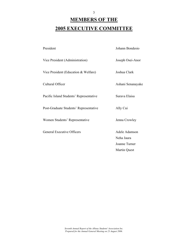# **MEMBERS OF THE 2005 EXECUTIVE COMMITTEE**

| President                               | Johann Bondesio               |
|-----------------------------------------|-------------------------------|
| Vice President (Administration)         | Joseph Osei-Anor              |
| Vice President (Education & Welfare)    | Joshua Clark                  |
| Cultural Officer                        | Ashani Senanayake             |
| Pacific Island Students' Representative | Surava Elaisa                 |
| Post-Graduate Students' Representative  | Ally Cui                      |
| Women Students' Representative          | Jenna Crowley                 |
| <b>General Executive Officers</b>       | Adele Adamson<br>Neha Jaura   |
|                                         | Joanne Turner<br>Martin Quest |
|                                         |                               |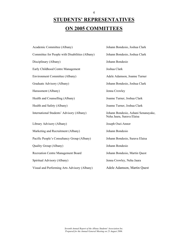# **STUDENTS' REPRESENTATIVES ON 2005 COMMITTEES**

4

| Academic Committee (Albany)                     | Johann Bondesio, Joshua Clark                                    |
|-------------------------------------------------|------------------------------------------------------------------|
| Committee for People with Disabilities (Albany) | Johann Bondesio, Joshua Clark                                    |
| Disciplinary (Albany)                           | Johann Bondesio                                                  |
| Early Childhood Centre Management               | Joshua Clark                                                     |
| <b>Environment Committee (Albany)</b>           | Adele Adamson, Joanne Turner                                     |
| Graduate Advisory (Albany)                      | Johann Bondesio, Joshua Clark                                    |
| Harassment (Albany)                             | Jenna Crowley                                                    |
| Health and Counselling (Albany)                 | Joanne Turner, Joshua Clark                                      |
| Health and Safety (Albany)                      | Joanne Turner, Joshua Clark                                      |
| International Students' Advisory (Albany)       | Johann Bondesio, Ashani Senanayake,<br>Neha Jaura, Surava Elaisa |
| Library Advisory (Albany)                       | Joseph Osei-Annor                                                |
| Marketing and Recruitment (Albany)              | Johann Bondesio                                                  |
| Pacific People's Consultancy Group (Albany)     | Johann Bondesio, Surava Elaisa                                   |
| Quality Group (Albany)                          | Johann Bondesio                                                  |
| <b>Recreation Centre Management Board</b>       | Johann Bondesio, Martin Quest                                    |
| Spiritual Advisory (Albany)                     | Jenna Crowley, Neha Jaura                                        |
| Visual and Performing Arts Advisory (Albany)    | Adele Adamson, Martin Quest                                      |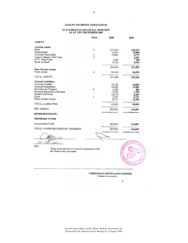### $\begin{array}{c} \textbf{STATEMENT OF FINANCIAL POSITION} \\ \textbf{AS AT 31ST DECEMBER 2005} \end{array}$

|                                                   | <b>Notes</b>   | 2005    | 2004    |
|---------------------------------------------------|----------------|---------|---------|
| <b>ASSETS</b>                                     |                |         |         |
| <b>Current Assets</b>                             |                |         |         |
| <b>Bank</b>                                       | $\overline{2}$ | 237,265 | 184,237 |
| Prepayments                                       |                | 10,601  | 10,808  |
| <b>Accounts Receivable</b>                        | $\frac{3}{5}$  | 10,681  | 4,777   |
| Loan to Massey Child Care                         |                |         | 2,291   |
| G.S.T. Receivable                                 |                | 1,229   | 788     |
| Stock on Hand                                     |                | 6,316   | 4,952   |
|                                                   |                | 266,092 | 207,853 |
| <b>Non-Current Assets</b>                         |                |         |         |
| <b>Fixed Assets</b>                               | 4              | 85,436  | 86,593  |
| <b>TOTAL ASSETS</b>                               |                | 351,528 | 294,446 |
| <b>Current Liabilities</b>                        |                |         |         |
| Accounts Payable                                  |                | 15,165  | 18,854  |
| Accrued Expenditure                               |                | 16,443  | 11,851  |
| Provision for Taxation                            | 6              | 1,189   | 482     |
| Revenue Received in Advance                       |                | 5,918   | 1,750   |
| Student Life Fund                                 |                | 12,615  | 6,415   |
| Clubs                                             | 7              | 5,587   | 8,131   |
| Maori Student Group                               |                | 8,711   | 12,356  |
| <b>TOTAL LIABILITIES</b>                          |                | 65,628  | 59,839  |
| <b>NET ASSETS</b>                                 |                | 285,900 | 234,607 |
| <b>REPRESENTED BY:</b>                            |                |         |         |
| <b>MEMBERS FUNDS</b>                              |                |         |         |
| <b>Accumulated Funds</b>                          |                | 285,900 | 234,607 |
| TOTAL FUNDS PROVIDED BY MEMBERS                   |                | 285,900 | 234,607 |
|                                                   |                |         |         |
|                                                   |                |         |         |
| '4<br>$\overline{0}$<br>2006<br>÷                 |                |         |         |
| Date                                              |                |         |         |
| These accounts are to be read in conjunction with |                |         |         |
| the Notes to the Accounts.                        |                |         |         |
|                                                   |                |         |         |
|                                                   |                |         |         |
|                                                   |                |         |         |
|                                                   |                |         |         |
|                                                   |                |         |         |
|                                                   |                |         |         |
|                                                   |                |         |         |

Chartered Accountants

 $\mathbf 2$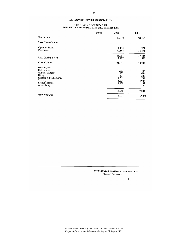### TRADING ACCOUNT - BAR<br>FOR THE YEAR ENDED 31ST DECEMBER 2005

|                                                                                                                                         | <b>Notes</b> | 2005                                           | 2004                                               |
|-----------------------------------------------------------------------------------------------------------------------------------------|--------------|------------------------------------------------|----------------------------------------------------|
| Bar Income                                                                                                                              |              | 39,070                                         | 24,189                                             |
| <b>Less Cost of Sales</b>                                                                                                               |              |                                                |                                                    |
| <b>Opening Stock</b><br>Purchases                                                                                                       |              | 1,134<br>22,164                                | 952<br>16,496                                      |
| Less Closing Stock                                                                                                                      |              | 23,298<br>1,407                                | 17,448<br>1,508                                    |
| Cost of Sales                                                                                                                           |              | 21,891                                         | 15,940                                             |
| <b>Direct Costs</b><br>Entertainers<br>General Expenses<br>Hirage<br>Repairs & Maintenance<br>Security<br>Liquor Permits<br>Advertising |              | 4,213<br>172<br>897<br>1,661<br>5,234<br>1,878 | 438<br>1,694<br>223<br>1,745<br>4,906<br>168<br>70 |
|                                                                                                                                         |              | 14,055                                         | 9,244                                              |
| <b>NET DEFICIT</b>                                                                                                                      |              | 3,124                                          | (995)                                              |

### **CHRISTMAS GOUWLAND LIMITED**<br>Chartered Accountants

 $\overline{\mathbf{3}}$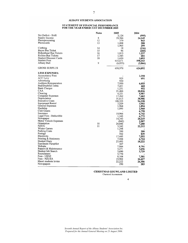### STATEMENT OF FINANCIAL PERFORMANCE<br>FOR THE YEAR ENDED 31ST DECEMBER 2005

|                               | <b>Notes</b> | 2005     | 2004    |
|-------------------------------|--------------|----------|---------|
| Net Deficit - BAR             |              | 3,124    | (995)   |
| Sundry Income                 | 8            | 20,566   | 24,145  |
| Photoprocessing               | 12           | 379      | 843     |
| Phonecards                    | 13           | 1,008    | 588     |
|                               |              | 1,965    | 299     |
| Clothing                      | 14           | 18       | (116)   |
| Bayes Bus Ticket              | 15           | 96       | (260)   |
| Birkenhead Bus Tickets        | 16           | 1,813    |         |
| Richies Bus Tickets           | 17           |          | 1,237   |
| <b>Student Discount Cards</b> |              | 1,543    | 681     |
| <b>Student Fees</b>           | 18           | 1,620    | 3,093   |
|                               |              | 633,671  | 598,443 |
| Albany Ball                   | 9            | (6, 833) | (3,866) |
| <b>GROSS SURPLUS</b>          |              | 658,970  | 624,092 |
| <b>LESS EXPENSES:</b>         |              |          |         |
| <b>Accountancy Fees</b>       |              |          | 2,358   |
| ACC Levy                      |              |          |         |
| Advertising                   |              | $-925$   | 691     |
|                               |              | 930      |         |
| Auditors Remuneration         |              | 7,950    | 6,055   |
| Bad/Doubtful Debts            |              | 7,431    | 468     |
| <b>Bank Charges</b>           |              | 1,251    | 952     |
| CAA                           |              | 21,466   | 20,826  |
| Cleaning                      |              | 6,221    | 5,907   |
| Computer Expenses             |              | 17,262   | 7,462   |
| Depreciation                  |              | 31,613   | 30,906  |
| <b>Executive Costs</b>        |              | 108,355  | 94,338  |
| Equipment Rental              |              | 3,229    | 3.902   |
| General Expenses              |              | 1,964    | 1,894   |
| Hardship                      |              | 1,095    | 2,968   |
| Club Grants                   |              |          | 6,758   |
| Insurance                     |              | 10.966   | 6,742   |
| Legal Fees - Deductible       |              | 1,345    | 6,772   |
| Newspaper                     |              | 14,343   | 20,219  |
| Motor Vehicle Expenses        |              | (842)    | 2.907   |
| Orientation                   | 10           | 24,846   | 7,280   |
| NZUG                          | 11           | 3,242    | 22,212  |
| Winter Games                  |              | 1,298    |         |
| Parking Costs                 |              | 200      | 200     |
| Postage                       |              | 502      | 839     |
| Electricity                   |              | 17,445   | 7,592   |
| Printing & Stationery         |              |          |         |
| <b>Student Diary</b>          |              | 7,584    | 6,724   |
| <b>Enrolment Pamphlet</b>     |              | 23,493   | 18,222  |
| Website                       |              | 307      |         |
|                               |              | 7,866    | 8,791   |
| Repairs & Maintenance         |              | 3,271    | 3,656   |
| Student Job Search            |              | 3,690    | 3,729   |
| Recruitment                   |              | 5,770    |         |
| Fees - USNZ                   |              | 8,104    | 7,301   |
| Fees - NZUSA                  |              | 19,902   | 16,427  |
| Maori students levies         |              | 22,222   | 26,306  |
| Newspapers                    |              | 290      | 283     |

#### **CHRISTMAS GOUWLAND LIMITED** Chartered Accountants

 $\overline{\mathbf{4}}$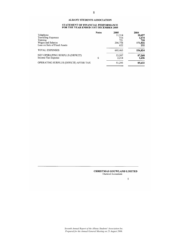### STATEMENT OF FINANCIAL PERFORMANCE<br>FOR THE YEAR ENDED 31ST DECEMBER 2005

|                                       | <b>Notes</b> | 2005    | 2004    |
|---------------------------------------|--------------|---------|---------|
| Telephone                             |              | 11,314  | 10,697  |
| <b>Travelling Expenses</b>            |              | 516     | 1.674   |
| Training                              |              | 721     | 718     |
| Wages and Salaries                    |              | 206,754 | 171,816 |
| Loss on Sale of Fixed Assets          |              | 622     | 232     |
| <b>TOTAL EXPENSES</b>                 |              | 605,463 | 536,824 |
| NET OPERATING SURPLUS (DEFICIT)       |              | 53,507  | 87,268  |
| Income Tax Expense                    | 6            | 2,214   | 1,636   |
| OPERATING SURPLUS (DEFICIT) AFTER TAX |              | 51,293  | 85,632  |

### **CHRISTMAS GOUWLAND LIMITED**<br>Chartered Accountants

 $\mathfrak s$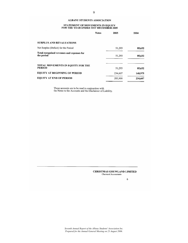### STATEMENT OF MOVEMENTS IN EQUITY<br>FOR THE YEAR ENDED 31ST DECEMBER 2005

|                                                          | <b>Notes</b> | 2005    | 2004    |
|----------------------------------------------------------|--------------|---------|---------|
| <b>SURPLUS AND REVALUATIONS</b>                          |              |         |         |
| Net Surplus (Deficit) for the Period                     |              | 51,293  | 85,632  |
| Total recognised revenues and expenses for<br>the period |              | 51,293  | 85,632  |
| TOTAL MOVEMENTS IN EQUITY FOR THE<br><b>PERIOD</b>       |              | 51,293  | 85,632  |
| <b>EQUITY AT BEGINNING OF PERIOD</b>                     |              | 234,607 | 148,975 |
| <b>EQUITY AT END OF PERIOD</b>                           |              | 285,900 | 234,607 |

These accounts are to be read in conjunction with<br>the Notes to the Accounts and the Disclaimer of Liability.

#### **CHRISTMAS GOUWLAND LIMITED** Chartered Accountants

 $\bf 6$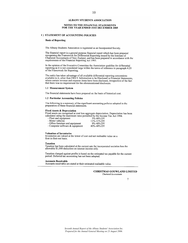#### NOTES TO THE FINANCIAL STATEMENTS FOR THE YEAR ENDED 31ST DECEMBER 2005

#### 1) STATEMENT OF ACCOUNTING POLICIES

#### **Basis of Reporting**

The Albany Students Association is registered as an Incorporated Society.

The financial report is a general purpose financial report which has been prepared recognising the Framework for Differential Reporting issued by the Institute of Chartered Accountants of New Zealand, and has been prepared

In the opinion of the Executive Committee the Association qualifies for differential reporting as it is not considered large within the terms of reference in paragraph 4.20 of the Framework for Reporting.

The entity has taken advantage of all available differential reporting concessions available to it, other than FRS 9: Information to be Disclosed in Financial Statements, where certain revenue and expense items have been disclosed, irrespective of the fact that there was no requirement for the aforementioned disclosure.

#### 1.1 Measurement System

The financial statements have been prepared on the basis of historical cost.

#### 1.2 Particular Accounting Policies

The following is a summary of the significant accounting policies adopted in the preparation of these financial statements.

#### **Fixed Assets & Depreciation**

Fixed assets are recognised at cost less aggregate depreciation. Depreciation has been calculated using the maximum rates permitted by the Income Tax Act 1994.

3%-48%DV

- Plant and equipment
- Motor vehicles
- 11%-31% DV 9%-48% DV - Office furniture and equipment
- Computer software & equipment 40%-48% DV

#### **Valuation of Inventories**

Inventories are valued at the lower of cost and net realisable value on a first-in-first-out basis.

#### **Taxation**

Taxation has been calculated at the current rate for incorporated societies less the allowable \$1,000 deduction on interest income only.

Taxation charged against profits is based on the estimated tax payable for the current period. Deferred tax accounting has not been adopted.

#### **Accounts Receivable**

Accounts receivable are stated at their estimated realisable value.

#### **CHRISTMAS GOUWLAND LIMITED** Chartered Accountants

 $\overline{7}$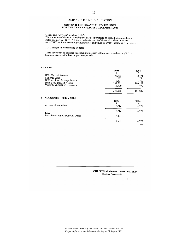### NOTES TO THE FINANCIAL STATEMENTS<br>FOR THE YEAR ENDED 31ST DECEMBER 2005

Goods and Services Taxation (GST)<br>The statement of financial performance has been prepared so that all components are<br>stated exclusive of GST. All items in the statement of financial position are stated<br>net of GST, with th

#### 1.3 Changes in Accounting Policies

There have been no changes in accounting policies. All policies have been applied on bases consistent with those in previous periods.

#### $2)$  BANK

 $\overline{\mathbf{3}}$ 

|                                             | 2005<br>S    | 2004<br>S        |
|---------------------------------------------|--------------|------------------|
| <b>BNZ Current Account</b><br>National Bank | 52,705       | 72,771           |
| <b>BNZ Achiever Savings Account</b>         | 882<br>7,674 | 756              |
| <b>BNZ</b> Term Deposit Account             | 162,265      | 5.752<br>100,179 |
| TWONAM -BNZ Chq account                     | 13,739       | 4,779            |
|                                             |              |                  |
|                                             | 237,265      | 184,237          |
| ) ACCOUNTS RECEIVABLE                       |              |                  |
|                                             | 2005         | 2004             |
|                                             | \$           | \$               |
| Accounts Receivable                         | 17.712       | 4,777            |
|                                             | 17,712       | 4,777            |
| Less                                        |              |                  |
| Less: Provision for Doubtful Debts          | 7,031        |                  |
|                                             | 10,681       | 4.777            |
|                                             |              |                  |

#### **CHRISTMAS GOUWLAND LIMITED** Chartered Accountants

2005

 $\bf 8$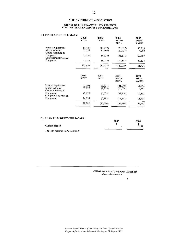### NOTES TO THE FINANCIAL STATEMENTS<br>FOR THE YEAR ENDED 31ST DECEMBER 2005

#### 4) FIXED ASSETS SUMMARY

| FIXED ASSETS SUMMARY                                         | 2005<br><b>COST</b> | 2005<br>DEPN.        | 2005<br><b>ACC'M</b><br>DEPN. | 2005<br><b>BOOK</b><br><b>VALUE</b> |
|--------------------------------------------------------------|---------------------|----------------------|-------------------------------|-------------------------------------|
| Plant & Equipment<br>Motor Vehicles<br>Office Furniture &    | 86,730<br>32,227    | (17,077)<br>(1,903)  | (39,017)<br>(27, 937)         | 47,713<br>4,290                     |
| Equipment<br>Computer Software &                             | 55,785              | (4,620)              | (35, 178)                     | 20,607                              |
| Equipment                                                    | 32,713              | (8,013)              | (19, 887)                     | 12,826                              |
|                                                              | 207,455             | (31,613)             | (122, 019)                    | 85,436                              |
|                                                              | 2004<br><b>COST</b> | 2004<br>DEPN.        | 2004<br>ACC'M<br>DEPN.        | 2004<br><b>BOOK</b><br><b>VALUE</b> |
| Plant & Equipment<br>Motor Vehicles<br>Office Furniture $\&$ | 73,194<br>32,227    | (16, 331)<br>(2,759) | (21,940)<br>(26, 034)         | 51,254<br>6,193                     |
| Equipment<br>Computer Software &                             | 49,626              | (6,623)              | (32, 274)                     | 17,352                              |
| Equipment                                                    | 24,235              | (5, 193)             | (12, 441)                     | 11,794                              |
|                                                              | 179,282             | (30,906)             | (92, 689)                     | 86,593                              |

### 5) LOAN TO MASSEY CHILD CARE

|                                 | 2005 | 2004  |
|---------------------------------|------|-------|
|                                 |      |       |
| Current portion                 | -    | 2.291 |
| The loan matured in August 2005 |      |       |

The loan matured in August 2005.

**CHRISTMAS GOUWLAND LIMITED** Chartered Accountants

9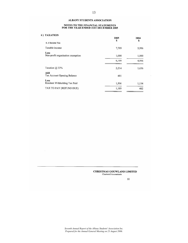### NOTES TO THE FINANCIAL STATEMENTS<br>FOR THE YEAR ENDED 31ST DECEMBER 2005

#### 6) TAXATION

| ***********                               | 2005<br>S      | 2004<br>\$     |
|-------------------------------------------|----------------|----------------|
| 6.1 Income Tax                            |                |                |
| Taxable income                            | 7,709          | 5,956          |
| Less<br>Non-profit organisation exemption | 1,000<br>6,709 | 1,000<br>4,956 |
| Taxation $(a)$ 33%                        | 2,214          | 1,636          |
| Add<br>Tax Account Opening Balance        | 481            |                |
| Less<br>Resident Withholding Tax Paid     | 1,506          | 1,154          |
| TAX TO PAY (REFUND DUE)                   | 1,189          | 482            |

#### **CHRISTMAS GOUWLAND LIMITED** Chartered Accountants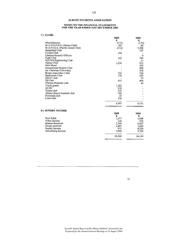### NOTES TO THE FINANCIAL STATEMENTS<br>FOR THE YEAR ENDED 31ST DECEMBER 2005

#### 7) CLUBS

| <u>------</u>                      | 2005<br>\$ | 2004<br>\$ |
|------------------------------------|------------|------------|
| Miscellaneous                      | (172)      | (172)      |
| M.A.D.S.O.D.S. (Drama Club)        | 185        | 84         |
| M.A.P.I.S.A. (Pacific Island Club) | (112)      | 3,588      |
| Basketball Club                    |            | 107        |
| Cricket Club                       | 194        |            |
| Campus Security Officers           |            | 9          |
| Fight Club                         | 142        | 780        |
| MATES Engineering Club             |            | 23         |
| Alpine Club                        | 1,226      | 812        |
| New Skool                          |            | 350        |
| International Student Club         |            | 488        |
| Int. Christian Fellowship          |            | 518        |
| Roopu kapa haka o teha             | 724        | 724        |
| <b>Badminton Club</b>              | 176        | 250        |
| MEAT club                          |            | 70         |
| DJ Club                            | 415        | 464        |
| Chinese Students' club             |            | 36         |
| Travel grants                      | 1,382      |            |
| <b>ACDC</b>                        | 218        |            |
| Tennis club                        | 143        |            |
| Albany Braves baseball club        | 708        |            |
| Peninsula club                     | 20         |            |
| Lions club                         | 338        |            |
|                                    | 5,587      | 8,131      |
| 8) SUNDRY INCOME                   |            |            |
|                                    | 2005       | 2004       |
|                                    | \$         | S          |
| Pool Table                         | 1,337      | 1,688      |
| Video Income                       | 144        | 476        |
| <b>Interest Received</b>           | 7,709      | 5,957      |
| Grants received                    | 3,405      | 1,800      |
| Sundry Income                      | 971        | 8.524      |
| Advertising Income                 | 7,000      | 5,700      |
|                                    | 20,566     | 24,145     |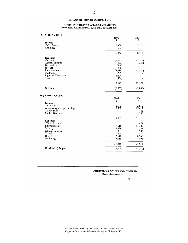### NOTES TO THE FINANCIAL STATEMENTS<br>FOR THE YEAR ENDED 31ST DECEMBER 2005

#### 9) ALBANY BALL

|                                    | 2005<br>\$       | 2004<br>\$ |
|------------------------------------|------------------|------------|
| Income                             |                  |            |
| <b>Ticket Sales</b>                | 6,309            | 8,711      |
| Gratuities                         | 533              |            |
|                                    | 6,842            | 8,711      |
| <b>Expenses</b>                    |                  |            |
| Catering                           | (5,787)          | (8,711)    |
| General Expense                    | (23)             | (336)      |
| Decorations<br>Hireage             | (658)            |            |
| Entertainment                      | (980)            |            |
| Marketing                          | (3,316)<br>(225) | (3,530)    |
| Lights & Electrician               | (2,220)          |            |
| Security                           | (466)            |            |
|                                    | 13,675           | 12,577     |
| Net Deficit                        | (6, 833)         | (3,866)    |
| 10) ORIENTATION                    |                  |            |
|                                    | 2005             | 2004       |
|                                    | \$               | \$         |
| Income                             |                  |            |
| <b>Ticket Sales</b>                | 1,142            | 2,550      |
| Advertising and Sponsorship        | 13,500           | 17,628     |
| <b>T/Shirt Sales</b>               |                  | 442        |
| Market Day Sales                   |                  | 756        |
|                                    | 14,642           | 21,376     |
| <b>Expenses</b><br>T/Shirt Expense |                  | 1,472      |
| Entertainment                      | 17,516           | 11,405     |
| Security                           | 4,499            | 3,357      |
| General Expense                    | 883              | 985        |
| Travel                             | 923              | 1,279      |
| Hirage                             | 12,648           | 8,266      |
| Marketing                          | 3,019            | 1,892      |
|                                    | 39,488           | 28,656     |
| Net (Deficit) Surplus              | (24, 846)        | (7,280)    |

### **CHRISTMAS GOUWLAND LIMITED**<br>Chartered Accountants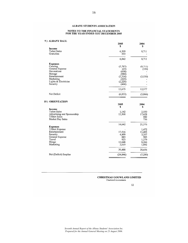### NOTES TO THE FINANCIAL STATEMENTS<br>FOR THE YEAR ENDED 31ST DECEMBER 2005

| 9) ALBANY BALL                                                                                                                             | 2005<br>\$                                                                          | 2004<br>\$                             |
|--------------------------------------------------------------------------------------------------------------------------------------------|-------------------------------------------------------------------------------------|----------------------------------------|
| Income<br><b>Ticket Sales</b><br>Gratuities                                                                                                | 6,309<br>533                                                                        | 8,711                                  |
|                                                                                                                                            | 6,842                                                                               | 8,711                                  |
| <b>Expenses</b><br>Catering<br>General Expense<br>Decorations<br>Hireage<br>Entertainment<br>Marketing<br>Lights & Electrician<br>Security | (5,787)<br>(23)<br>(658)<br>(980)<br>(3,316)<br>(225)<br>(2,220)<br>(466)<br>13,675 | (8,711)<br>(336)<br>(3, 530)<br>12,577 |
| Net Deficit                                                                                                                                | (6, 833)                                                                            | (3,866)                                |
| 10) ORIENTATION<br>Income                                                                                                                  | 2005<br>\$                                                                          | 2004<br>\$                             |
| $T^*$ . Let $\alpha$ . Let                                                                                                                 | 1.1.0                                                                               | $\sim$ $\sim$ $\sim$ $\sim$            |

| <br><b>Ticket Sales</b><br>Advertising and Sponsorship<br><b>T/Shirt Sales</b><br>Market Day Sales                  | 1,142<br>13,500                                  | 2,550<br>17,628<br>442<br>756                              |
|---------------------------------------------------------------------------------------------------------------------|--------------------------------------------------|------------------------------------------------------------|
|                                                                                                                     | 14,642                                           | 21,376                                                     |
| <b>Expenses</b><br>T/Shirt Expense<br>Entertainment<br>Security<br>General Expense<br>Travel<br>Hirage<br>Marketing | 17.516<br>4,499<br>883<br>923<br>12,648<br>3,019 | 1,472<br>11,405<br>3,357<br>985<br>1,279<br>8,266<br>1,892 |
|                                                                                                                     | 39.488                                           | 28,656                                                     |
| Net (Deficit) Surplus                                                                                               | (24, 846)                                        | (7,280)                                                    |
|                                                                                                                     |                                                  |                                                            |

**CHRISTMAS GOUWLAND LIMITED** Chartered Accountants

 $12$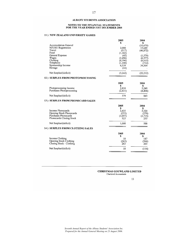### NOTES TO THE FINANCIAL STATEMENTS<br>FOR THE YEAR ENDED 31ST DECEMBER 2005

#### 11) NEW ZEALAND UNIVERSITY GAMES

|                                                         | 2005           | 2004           |
|---------------------------------------------------------|----------------|----------------|
| <b>Accomodation General</b>                             | S              | S<br>(10,670)  |
| <b>NZUSU</b> Registration                               | 2,000          | 15,649         |
| Travel                                                  | (517)          | (46, 872)      |
| Food                                                    | (1, 183)       |                |
| General Expense                                         | (45)           | (1, 579)       |
| Wages                                                   | (2, 496)       | (6,577)        |
| Clothing                                                | (6, 396)       | (6,015)        |
| Telephone<br>Sponsorship Income                         | (1,100)        | (712)          |
| Hireage                                                 | 6,539<br>(44)  | 34.564         |
| Net Surplus/(deficit)                                   | (3,242)        | (22, 212)      |
| 12) SURPLUS FROM PHOTOPROCESSING                        |                |                |
|                                                         | 2005           | 2004           |
|                                                         | \$             | \$             |
| Photoprocessing Income                                  | 2,810          | 5,249          |
| Purchases Photoprocessing                               | (2, 431)       | (4, 406)       |
| Net Surplus/(deficit)                                   | 379            | 843            |
| 13) SURPLUS FROM PHONECARD SALES                        |                |                |
|                                                         | 2005           | 2004           |
|                                                         | \$             | \$             |
| Income Phonecards                                       | 3,435          | 3,320          |
| Opening Stock Phonecards<br><b>Purchases Phonecards</b> | (253)          | (270)          |
| Phonecards Closing Stock                                | (2,697)<br>523 | (2,715)<br>253 |
|                                                         |                |                |
| Net Surplus/(deficit)                                   | 1,008          | 588            |
| 14) SURPLUS FROM CLOTHING SALES                         |                |                |
|                                                         | 2005           | 2004           |
|                                                         | S              | \$             |
| Income Clothing                                         | 18             | 187            |
| Opening Stock Clothing                                  | (263)          | (566)          |
| Closing Stock - Clothing                                | 263            | 263            |
| Net Surplus/(deficit)                                   | 18             | (116)          |
|                                                         |                |                |

#### **CHRISTMAS GOUWLAND LIMITED** Chartered Accountants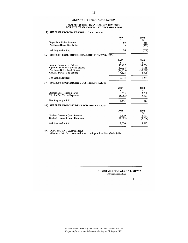18

### NOTES TO THE FINANCIAL STATEMENTS<br>FOR THE YEAR ENDED 31ST DECEMBER 2005

### 15) SURPLUS FROM BAYES BUS TICKET SALES

|                                                                                               | 2005<br>\$                                   | 2004<br>\$                                   |
|-----------------------------------------------------------------------------------------------|----------------------------------------------|----------------------------------------------|
| Bayes Bus Ticket Income<br>Purchases Bayes Bus Ticket                                         | 96                                           | 619<br>(879)                                 |
| Net Surplus/(deficit)                                                                         | 96                                           | (260)                                        |
| 16) SURPLUS FROM BIRKENHEAD BUS TICKET SALES                                                  |                                              |                                              |
| Income Birkenhead Tickets<br>Opening Stock Birkenhead Tickets<br>Purchases Birkenhead Tickets | 2005<br>\$<br>45,497<br>(2,928)<br>(44, 879) | 2004<br>S<br>34,754<br>(1, 156)<br>(35, 289) |
| Closing Stock - Bus Tickets<br>Net Surplus/(deficit)                                          | 4.123<br>1,813                               | 2.928<br>1,237                               |
| 17) SURPLUS FROM RICHIES BUS TICKET SALES                                                     |                                              |                                              |
| Richies Bus Tickets Income<br>Richies Bus Ticket Expenses                                     | 2005<br>S<br>9.635<br>(8,092)                | 2004<br>S<br>3,708<br>(3,027)                |
| Net Surplus/(deficit)                                                                         | 1,543                                        | 681                                          |
| 18) SURPLUS FROM STUDENT DISCOUNT CARDS                                                       |                                              |                                              |
| Student Discount Cards Income<br><b>Student Discount Cards Expenses</b>                       | 2005<br>\$<br>3.529<br>(1,909)               | 2004<br>\$<br>6,377<br>(3,284)               |
| Net Surplus/(deficit)                                                                         | 1,620                                        | 3,093                                        |
|                                                                                               |                                              |                                              |

19) CONTINGENT LIABILITIES<br>At balance date there were no known contingent liabilities (2004 \$nil).

**CHRISTMAS GOUWLAND LIMITED** Chartered Accountants

 $14$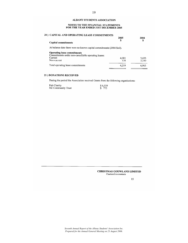### NOTES TO THE FINANCIAL STATEMENTS<br>FOR THE YEAR ENDED 31ST DECEMBER 2005

| 20) CAPITAL AND OPERATING LEASE COMMITMENTS                                               |            |       |
|-------------------------------------------------------------------------------------------|------------|-------|
| <b>Capital commitments</b>                                                                | 2005<br>\$ | 2004  |
| At balance date there were no known capital commitments (2004 \$nil).                     |            |       |
| <b>Operating lease commitments</b><br>Commitments under non-cancellable operating leases: |            |       |
| Current                                                                                   | 4,081      | 3,633 |
| Non-current                                                                               | 138        | 3,330 |
| Total operating lease commitments                                                         | 4,219      | 6.963 |

#### 21) DONATIONS RECEIVED

During the period the Association received Grants from the following organisations:

| Pub Charity        | \$6.539 |
|--------------------|---------|
| NZ Community Trust | \$ 773  |

#### **CHRISTMAS GOUWLAND LIMITED** Chartered Accountants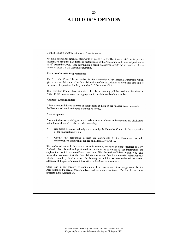### **AUDITOR'S OPINION**

To the Members of Albany Students' Association Inc.

We have audited the financial statements on pages 2 to 15. The financial statements provide information about the past financial performance of the Association and financial position as at  $31<sup>st</sup>$  December 2005. This information is stated in accordance with the accounting policies set out in Note 1 to the financial statements.

#### **Executive Council's Responsibilities**

The Executive Council is responsible for the preparation of the financial statements which give a true and fair view of the financial position of the Association as at balance date and of the results of operations for the year ended 31<sup>st</sup> December 2005.

The Executive Council has determined that the accounting policies used and described in Note 1 to the financial report are appropriate to meet the needs of the members.

#### **Auditors' Responsibilities**

It is our responsibility to express an independent opinion on the financial report presented by the Executive Council and report our opinion to you.

#### **Basis of opinion**

An audit includes examining, on a test basis, evidence relevant to the amounts and disclosures in the financial report. It also included assessing:

- significant estimates and judgments made by the Executive Council in the preparation of the financial report, and
- \* whether the accounting policies are appropriate to the Executive Council's circumstances, consistently applied and adequately disclosed.

We conducted our audit in accordance with generally accepted auditing standards in New Zealand. We planned and performed our audit so as to obtain all the information and explanations which we considered necessary. We obtained sufficient evidence to give reasonable assurance that the financial statements are free from material misstatements, whether caused by fraud or error. In forming our opinion we also evaluated the overall adequacy of the presentation of information in the financial statements.

Other than in our capacity as auditors our firm carries out other assignments for the Association in the area of taxation advice and accounting assistance. The firm has no other interests in the Association.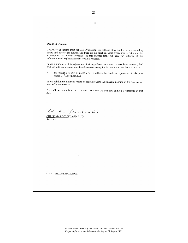#### **Qualified Opinion**

Controls over income from the Bar, Orientation, the ball and other sundry income excluding grants and interest are limited and there are no practical audit procedures to determine the accuracy of the income recorded. In this respect alone we have not obtained all the information and explanations that we have required.

In our opinion except for adjustments that might have been found to have been necessary had we been able to obtain sufficient evidence concerning the income sources referred to above

the financial report on pages 2 to 15 reflects the results of operations for the year ended 31<sup>st</sup> December 2005.

In our opinion the financial report on page 2 reflects the financial position of the Association as at  $31^{\text{st}}$  December 2005.

Our audit was completed on 11 August 2006 and our qualified opinion is expressed at that date.

Chartamer Germandant + 6.

CHRISTMAS GOUWLAND & CO Auckland

K:\TPM\ALB900\ALB900 2005\AR311205.doc

 $-2-$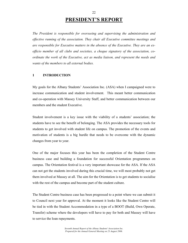### **PRESIDENT'S REPORT**

22

*The President is responsible for overseeing and supervising the administration and effective running of the association. They chair all Executive committee meetings and are responsible for Executive matters in the absence of the Executive. They are an exofficio member of all clubs and societies, a cheque signatory of the association, coordinate the work of the Executive, act as media liaison, and represent the needs and wants of the members to all external bodies.* 

#### **1 INTRODUCTION**

My goals for the Albany Students' Association Inc. (ASA) when I campaigned were to increase communication and student involvement. This meant better communication and co-operation with Massey University Staff, and better communication between our members and the student Executive.

Student involvement is a key issue with the viability of a students' association; the students have to see the benefit of belonging. The ASA provides the necessary tools for students to get involved with student life on campus. The promotion of the events and motivation of students is a big hurdle that needs to be overcome with the dynamic changes from year to year.

One of the major focuses this year has been the completion of the Student Centre business case and building a foundation for successful Orientation programmes on campus. The Orientation festival is a very important showcase for the ASA. If the ASA can not get the students involved during this crucial time, we will most probably not get them involved at Massey at all. The aim for the Orientation is to get students to socialise with the rest of the campus and become part of the student culture.

The Student Centre business case has been progressed to a point where we can submit it to Council next year for approval. At the moment it looks like the Student Centre will be tied in with the Student Accommodation in a type of a BOOT (Build, Own Operate, Transfer) scheme where the developers will have to pay for both and Massey will have to service the loan repayments.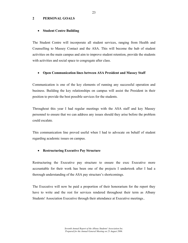#### **2 PERSONAL GOALS**

#### • **Student Centre Building**

The Student Centre will incorporate all student services, ranging from Health and Counselling to Massey Contact and the ASA. This will become the hub of student activities on the main campus and aim to improve student retention, provide the students with activities and social space to congregate after class.

#### • **Open Communication lines between ASA President and Massey Staff**

Communication is one of the key elements of running any successful operation and business. Building the key relationships on campus will assist the President in their position to provide the best possible services for the students.

Throughout this year I had regular meetings with the ASA staff and key Massey personnel to ensure that we can address any issues should they arise before the problem could escalate.

This communication line proved useful when I had to advocate on behalf of student regarding academic issues on campus.

#### • **Restructuring Executive Pay Structure**

Restructuring the Executive pay structure to ensure the exec Executive more accountable for their work has been one of the projects I undertook after I had a thorough understanding of the ASA pay structure's shortcomings.

The Executive will now be paid a proportion of their honorarium for the report they have to write and the rest for services rendered throughout their term as Albany Students' Association Executive through their attendance at Executive meetings..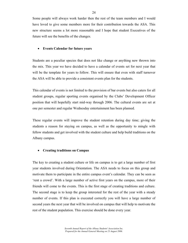Some people will always work harder then the rest of the team members and I would have loved to give some members more for their contribution towards the ASA. This new structure seems a lot more reasonable and I hope that student Executives of the future will see the benefits of the changes.

#### • **Events Calendar for future years**

Students are a peculiar species that does not like change or anything new thrown into the mix. This year we have decided to have a calendar of events set for next year that will be the template for years to follow. This will ensure that even with staff turnover the ASA will be able to provide a consistent events plan for the students.

This calendar of events is not limited to the provision of bar events but also caters for all student groups, regular sporting events organised by the Clubs' Development Officer position that will hopefully start mid-way through 2006. The cultural events are set at one per semester and regular Wednesday entertainment has been planned.

These regular events will improve the student retention during day time; giving the students a reason for staying on campus, as well as the opportunity to mingle with fellow students and get involved with the student culture and help build traditions on the Albany campus.

#### • **Creating traditions on Campus**

The key to creating a student culture or life on campus is to get a large number of first year students involved during Orientation. The ASA needs to focus on this group and motivate them to participate in the entire campus event's calendar. They can be seen as 'rent a crowd'. With a large number of active first years on the campus, more of their friends will come to the events. This is the first stage of creating traditions and culture. The second stage is to keep the group interested for the rest of the year with a steady number of events. If this plan is executed correctly you will have a large number of second years the next year that will be involved on campus that will help to motivate the rest of the student population. This exercise should be done every year.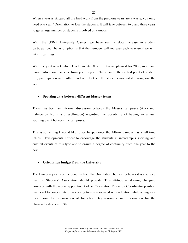When a year is skipped all the hard work from the previous years are a waste, you only need one year / Orientation to lose the students. It will take between two and three years to get a large number of students involved on campus.

With the USNZ University Games, we have seen a slow increase in student participation. The assumption is that the numbers will increase each year until we will hit critical mass.

With the joint new Clubs' Developments Officer initiative planned for 2006, more and more clubs should survive from year to year. Clubs can be the central point of student life, participation and culture and will to keep the students motivated throughout the year.

### • **Sporting days between different Massey teams**

There has been an informal discussion between the Massey campuses (Auckland, Palmerston North and Wellington) regarding the possibility of having an annual sporting event between the campuses.

This is something I would like to see happen once the Albany campus has a full time Clubs' Developments Officer to encourage the students in intercampus sporting and cultural events of this type and to ensure a degree of continuity from one year to the next.

#### • **Orientation budget from the University**

The University can see the benefits from the Orientation, but still believes it is a service that the Students' Association should provide. This attitude is slowing changing however with the recent appointment of an Orientation Retention Coordinator position that is set to concentrate on reversing trends associated with retention while acting as a focal point for organisation of Induction Day resources and information for the University Academic Staff.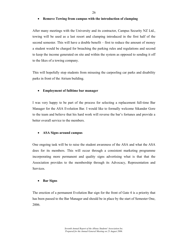26

#### • **Remove Towing from campus with the introduction of clamping**

After many meetings with the University and its contractor, Campus Security NZ Ltd., towing will be used as a last resort and clamping introduced in the first half of the second semester. This will have a double benefit – first to reduce the amount of money a student would be charged for breaching the parking rules and regulations and second to keep the income generated on site and within the system as opposed to sending it off to the likes of a towing company.

This will hopefully stop students from misusing the carpooling car parks and disability parks in front of the Atrium building.

#### • **Employment of fulltime bar manager**

I was very happy to be part of the process for selecting a replacement full-time Bar Manager for the ASA Evolution Bar. I would like to formally welcome Sikander Gore to the team and believe that his hard work will reverse the bar's fortunes and provide a better overall service to the members.

#### • **ASA Signs around campus**

One ongoing task will be to raise the student awareness of the ASA and what the ASA does for its members. This will occur through a consistent marketing programme incorporating more permanent and quality signs advertising what is that that the Association provides to the membership through its Advocacy, Representation and Services.

#### • **Bar Signs**

The erection of a permanent Evolution Bar sign for the front of Gate 4 is a priority that has been passed to the Bar Manager and should be in place by the start of Semester One, 2006.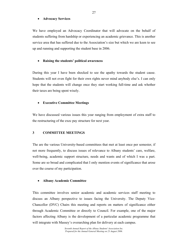#### • **Advocacy Services**

We have employed an Advocacy Coordinator that will advocate on the behalf of students suffering from hardship or experiencing an academic grievance. This is another service area that has suffered due to the Association's size but which we are keen to see up and running and supporting the student base in 2006.

### • **Raising the students' political awareness**

During this year I have been shocked to see the apathy towards the student cause. Students will not even fight for their own rights never mind anybody else's. I can only hope that the students will change once they start working full-time and ask whether their taxes are being spent wisely.

### • **Executive Committee Meetings**

We have discussed various issues this year ranging from employment of extra staff to the restructuring of the exec pay structure for next year.

#### **3 COMMITTEE MEETINGS**

The are the various University-based committees that met at least once per semester, if not more frequently, to discuss issues of relevance to Albany students' care, welfare, well-being, academic support structure, needs and wants and of which I was a part. Some are so broad and complicated that I only mention events of significance that arose over the course of my participation.

#### • **Albany Academic Committee**

This committee involves senior academic and academic services staff meeting to discuss an Albany perspective to issues facing the University. The Deputy Vice-Chancellor (DVC) Chairs this meeting and reports on matters of significance either through Academic Committee or directly to Council. For example, one of the major factors affecting Albany is the development of a particular academic programme that will integrate with Massey's overarching plan for delivery at each campus.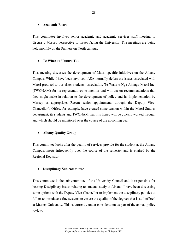#### • **Academic Board**

This committee involves senior academic and academic services staff meeting to discuss a Massey perspective to issues facing the University. The meetings are being held monthly on the Palmerston North campus.

#### • **Te Whanau Uruuru Tau**

This meeting discusses the development of Maori specific initiatives on the Albany Campus. While I have been involved, ASA normally defers the issues associated with Maori protocol to our sister students' association, Te Waka o Nga Akonga Maori Inc. (TWONAM) for its representatives to monitor and will act on recommendations that they might make in relation to the development of policy and its implementation by Massey as appropriate. Recent senior appointments through the Deputy Vice-Chancellor's Office, for example, have created some tension within the Maori Studies department, its students and TWONAM that it is hoped will be quickly worked through and which should be monitored over the course of the upcoming year.

#### • **Albany Quality Group**

This committee looks after the quality of services provide for the student at the Albany Campus, meets infrequently over the course of the semester and is chaired by the Regional Registrar.

#### • **Disciplinary Sub committee**

This committee is the sub-committee of the University Council and is responsible for hearing Disciplinary issues relating to students study at Albany. I have been discussing some options with the Deputy Vice-Chancellor to implement the disciplinary policies at full or to introduce a fine systems to ensure the quality of the degrees that is still offered at Massey University. This is currently under consideration as part of the annual policy review.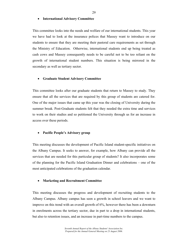#### • **International Advisory Committee**

This committee looks into the needs and welfare of our international students. This year we have had to look at the insurance polices that Massey want to introduce on our students to ensure that they are meeting their pastoral care requirements as set through the Ministry of Education. Otherwise, international students end up being treated as cash cows and Massey consequently needs to be careful not to be too reliant on the growth of international student numbers. This situation is being mirrored in the secondary as well as tertiary sector.

#### • **Graduate Student Advisory Committee**

This committee looks after our graduate students that return to Massey to study. They ensure that all the services that are required by this group of students are catered for. One of the major issues that came up this year was the closing of University during the summer break. Post-Graduate students felt that they needed the extra time and services to work on their studies and so petitioned the University through us for an increase in access over these periods.

#### • **Pacific People's Advisory group**

This meeting discusses the development of Pacific Island student-specific initiatives on the Albany Campus. It seeks to answer, for example, how Albany can provide all the services that are needed for this particular group of students? It also incorporates some of the planning for the Pacific Island Graduation Dinner and celebrations – one of the most anticipated celebrations of the graduation calendar.

#### • **Marketing and Recruitment Committee**

This meeting discusses the progress and development of recruiting students to the Albany Campus. Albany campus has seen a growth in school leavers and we want to improve on this trend with an overall growth of 6%, however there has been a downturn in enrolments across the tertiary sector, due in part to a drop in international students, but also to retention issues, and an increase in part-time numbers to the campus.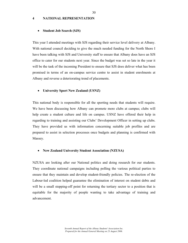#### **4 NATIONAL REPRESENTATION**

#### • **Student Job Search (SJS)**

This year I attended meetings with SJS regarding their service level delivery at Albany. With national council deciding to give the much needed funding for the North Shore I have been talking with SJS and University staff to ensure that Albany does have an SJS office to cater for our students next year. Since the budget was set so late in the year it will be the task of the incoming President to ensure that SJS does deliver what has been promised in terms of an on-campus service centre to assist in student enrolments at Albany and reverse a deteriorating trend of placements.

#### • **University Sport New Zealand (USNZ)**

This national body is responsible for all the sporting needs that students will require. We have been discussing how Albany can promote more clubs at campus; clubs will help create a student culture and life on campus. USNZ have offered their help in regarding to training and assisting our Clubs' Development Officer in setting up clubs. They have provided us with information concerning suitable job profiles and are prepared to assist in selection processes once budgets and planning is confirmed with Massey.

#### • **New Zealand University Student Association (NZUSA)**

NZUSA are looking after our National politics and doing research for our students. They coordinate national campaigns including polling the various political parties to ensure that they maintain and develop student-friendly policies. The re-election of the Labour-led coalition helped guarantee the elimination of interest on student debts and will be a small stepping-off point for returning the tertiary sector to a position that is equitable for the majority of people wanting to take advantage of training and advancement.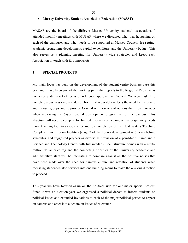#### 31

#### • **Massey University Student Association Federation (MASAF)**

MASAF are the board of the different Massey University student's associations. I attended monthly meetings with MUSAF where we discussed what was happening on each of the campuses and what needs to be supported at Massey Council: fee setting, academic programme development, capital expenditure, and the University budget. This also serves as a planning meeting for University-wide strategies and keeps each Association in touch with its compatriots.

#### **5 SPECIAL PROJECTS**

My main focus has been on the development of the student centre business case this year and I have been part of the working party that reports to the Regional Registrar as convenor under a set of terms of reference approved at Council. We were tasked to complete a business case and design brief that accurately reflects the need for the centre and its user groups and to provide Council with a series of options that it can consider when reviewing the 5-year capital development programme for the campus. This structure will need to compete for limited resources on a campus that desperately needs more teaching facilities (soon to be met by completion of the Neal Waters Teaching Complex), more library facilities (stage 2 of the library development is 6 years behind schedule), and suggested projects as diverse as provision of a pan-Maori marae and a Science and Technology Centre with full wet-labs. Each structure comes with a multimillion dollar price tag and the competing priorities of the University academic and administrative staff will be interesting to compare against all the positive noises that have been made over the need for campus culture and retention of students when focussing student-related services into one building seems to make the obvious direction to proceed.

This year we have focused again on the political side for our major special project. Since it was an election year we organised a political debate to inform students on political issues and extended invitations to each of the major political parties to appear on campus and enter into a debate on issues of relevance.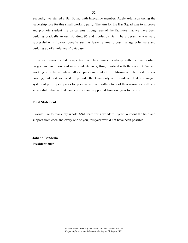Secondly, we started a Bar Squad with Executive member, Adele Adamson taking the leadership role for this small working party. The aim for the Bar Squad was to improve and promote student life on campus through use of the facilities that we have been building gradually in our Building 96 and Evolution Bar. The programme was very successful with flow-on benefits such as learning how to best manage volunteers and building up of a volunteers' database.

From an environmental perspective, we have made headway with the car pooling programme and more and more students are getting involved with the concept. We are working to a future where all car parks in front of the Atrium will be used for car pooling, but first we need to provide the University with evidence that a managed system of priority car parks for persons who are willing to pool their resources will be a successful initiative that can be grown and supported from one year to the next.

#### **Final Statement**

I would like to thank my whole ASA team for a wonderful year. Without the help and support from each and every one of you, this year would not have been possible.

**Johann Bondesio President 2005**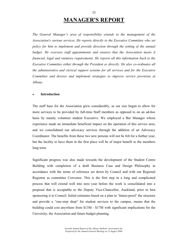### **MANAGER'S REPORT**

*The General Manager's area of responsibility extends to the management of the Association's various services. He reports directly to the Executive Committee who set policy for him to implement and provide direction through the setting of the annual*  budget. He oversees staff appointments and ensures that the Association meets it *financial, legal and statutory requirements. He reports all this information back to the Executive Committee either through the President or directly. He also co-ordinates all the administrative and clerical support systems for all services and for the Executive Committee and devises and implement strategies to improve service provision at Albany.* 

#### • **Introduction**

The staff base for the Association grew considerably, as our size began to allow for more services to be provided by full-time Staff members as opposed to on an ad-hoc basis by mainly volunteer student Executive. We employed a Bar Manager whose experience made an immediate beneficial impact on the operation of this service area, and we consolidated our advocacy services through the addition of an Advocacy Coordinator. The benefits from these two new persons will not be felt for a further year, but the facility to have them in the first place will be of major benefit to the members long term.

Significant progress was also made towards the development of the Student Centre Building with completion of a draft Business Case and Design Philosophy in accordance with the terms of reference set down by Council and with our Regional Registrar as committee Convenor. This is the first step in a long and complicated process that will extend well into next year before the work is consolidated into a proposal that is acceptable to the Deputy Vice-Chancellor, Auckland, prior to him sponsoring it to Council. Initial estimates based on a plan to 'future-proof' the structure and provide a "one-stop shop" for student services to the campus, means that the building could cost anywhere from \$13M - \$17M with significant implications for the University, the Association and future budget planning.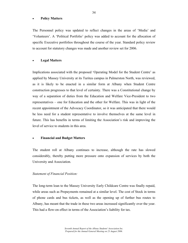#### • **Policy Matters**

The Personnel policy was updated to reflect changes in the areas of 'Media' and 'Volunteers'. A 'Political Portfolio' policy was added to account for the allocation of specific Executive portfolios throughout the course of the year. Standard policy review to account for statutory changes was made and another review set for 2006.

#### • **Legal Matters**

Implications associated with the proposed 'Operating Model for the Student Centre' as applied by Massey University at its Turitea campus in Palmerston North, was reviewed, as it is likely to be enacted in a similar form at Albany when Student Centre construction progresses to that level of certainty. There was a Constitutional change by way of a separation of duties from the Education and Welfare Vice-President to two representatives – one for Education and the other for Welfare. This was in light of the recent appointment of the Advocacy Coordinator, so it was anticipated that there would be less need for a student representative to involve themselves at the same level in future. This has benefits in terms of limiting the Association's risk and improving the level of service to students in this area.

#### • **Financial and Budget Matters**

The student roll at Albany continues to increase, although the rate has slowed considerably, thereby putting more pressure onto expansion of services by both the University and Association.

#### *Statement of Financial Position:*

The long-term loan to the Massey University Early Childcare Centre was finally repaid, while areas such as Prepayments remained at a similar level. The cost of Stock in terms of phone cards and bus tickets, as well as the opening up of further bus routes to Albany, has meant that the trade in these two areas increased significantly over the year. This had a flow-on effect in terms of the Association's liability for tax.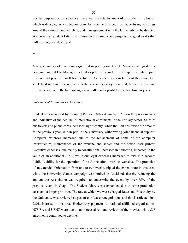For the purposes of transparency, there was the establishment of a 'Student Life Fund,' which is designed as a collection point for revenue received from advertising hoardings around the campus, and which is, under an agreement with the University, to be directed at increasing "Student Life" and culture on the campus and projects and good works that will promote and develop it.

#### *Bar:*

A larger number of functions, organised in part by our Events Manager alongside our newly-appointed Bar Manager, helped stop the slide in terms of expenses outstripping revenue and promises well for the future. Associated costs in terms of the amount of stock held on hand, the regular entertainers and security increased, but so did revenue for the period, with the bar posting a small after sales profit for the first time in years.

#### *Statement of Financial Performance:*

Student fees increased by around \$35K or 5.8% - down by \$15K on the previous year and indicative of the decline in International enrolments in the Tertiary sector. Sales of bus tickets and phone cards increased significantly, while the Ball cost twice the amount of the previous year, due in part to the University withdrawing joint financial support. Computer expenses increased due to the replacement of some of the computer infrastructure, maintenance of the website and server and the office laser printer. Executive expenses, due mainly to constitutional increases in honoraria, impacted to the value of an additional \$14K, while our legal expenses increased to take into account Public Liability for the operation of the Association's various websites. The provision of an extended Orientation from one to two weeks, tripled the expenditure in this area, while the University Games campaign was limited to Auckland, thereby reducing the amount the Association was required to underwrite the event by over 75% of the previous event in Otago. The Student Diary costs expanded due to some production costs and a larger print run. The rate at which we were charged Rates and Electricity by the University was reviewed as part of our Lease renegotiations and this is reflected in a 230% increase in this area. Higher levy payments to national affiliated organisations, NZUSA and USNZ were due to an increased roll and reviews of their levies, while SJS enrolments continued to decline.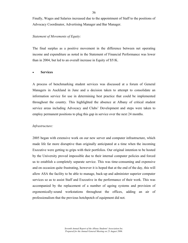Finally, Wages and Salaries increased due to the appointment of Staff to the positions of Advocacy Coordinator, Advertising Manager and Bar Manager.

#### *Statement of Movements of Equity:*

The final surplus as a positive movement in the difference between net operating income and expenditure as noted in the Statement of Financial Performance was lower than in 2004, but led to an overall increase in Equity of \$51K.

#### • **Services**

A process of benchmarking student services was discussed at a forum of General Managers in Auckland in June and a decision taken to attempt to consolidate an information service for use in determining best practice that could be implemented throughout the country. This highlighted the absence at Albany of critical student service areas including Advocacy and Clubs' Development and steps were taken to employ permanent positions to plug this gap in service over the next 24 months.

#### *Infrastructure:*

2005 began with extensive work on our new server and computer infrastructure, which made life far more disruptive than originally anticipated at a time when the incoming Executive were getting to grips with their portfolios. Our original intention to be hosted by the University proved impossible due to their internal computer policies and forced us to establish a completely separate service. This was time-consuming and expensive and on occasion quite frustrating, however it is hoped that at the end of the day, this will allow ASA the facility to be able to manage, back-up and administer superior computer services so as to assist Staff and Executive in the performance of their work. This was accompanied by the replacement of a number of ageing systems and provision of ergonomically-sound workstations throughout the offices, adding an air of professionalism that the previous hotchpotch of equipment did not.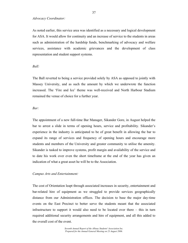*Advocacy Coordinator:* 

As noted earlier, this service area was identified as a necessary and logical development for ASA. It would allow for continuity and an increase of service to the students in areas such as administration of the hardship funds, benchmarking of advocacy and welfare services, assistance with academic grievances and the development of class representation and student support systems.

## *Ball:*

The Ball reverted to being a service provided solely by ASA as opposed to jointly with Massey University, and as such the amount by which we underwrote the function increased. The 'Fire and Ice' theme was well-received and North Harbour Stadium remained the venue of choice for a further year.

# *Bar:*

The appointment of a new full-time Bar Manager, Sikander Gore, in August helped the bar to arrest a slide in terms of opening hours, service and profitability. Sikander's experience in the industry is anticipated to be of great benefit in allowing the bar to expand its range of services and frequency of opening hours and encourage more students and members of the University and greater community to utilise the amenity. Sikander is tasked to improve systems, profit margin and availability of the service and to date his work over even the short timeframe at the end of the year has given an indication of what a great asset he will be to the Association.

### *Campus Arts and Entertainment:*

The cost of Orientation leapt through associated increases in security, entertainment and bar-related hire of equipment as we struggled to provide services geographically distance from our Administration offices. The decision to base the major day-time events on the East Precinct to better serve the students meant that the associated infrastructure to support it would also need to be located over there – this in turn required additional security arrangements and hire of equipment, and all this added to the overall cost of the event.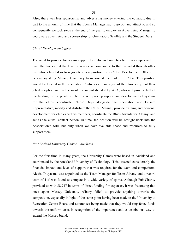Also, there was less sponsorship and advertising money entering the equation, due in part to the amount of time that the Events Manager had to go out and attract it, and so consequently we took steps at the end of the year to employ an Advertising Manager to coordinate advertising and sponsorship for Orientation, Satellite and the Student Diary.

#### *Clubs' Development Officer:*

The need to provide long-term support to clubs and societies here on campus and to raise the bar so that the level of service is comparable to that provided through other institutions has led us to negotiate a new position for a Clubs' Development Officer to be employed by Massey University from around the middle of 2006. This position would be located in the Recreation Centre as an employee of the University, but their job description and profile would be in part dictated by ASA, who will provide half of the funding for the position. The role will pick up support and development of systems for the clubs, coordinate Clubs' Days alongside the Recreation and Leisure Representative, modify and distribute the Clubs' Manual, provide training and personal development for club executive members, coordinate the Blues Awards for Albany, and act as the clubs' contact person. In time, the position will be brought back into the Association's fold, but only when we have available space and resources to fully support them.

#### *New Zealand University Games – Auckland:*

For the first time in many years, the University Games were based in Auckland and coordinated by the Auckland University of Technology. This lessened considerably the financial impact and level of support that was required for the team and competitors. Alexis Thuynsma was appointed as the Team Manager for Team Albany and a record team of 115 was found to compete in a wide variety of sports. Although Pub Charity provided us with \$8,747 in terms of direct funding for expenses, it was frustrating that once again Massey University Albany failed to provide anything towards the competition, especially in light of the same point having been made to the University at Recreation Centre Board and assurances being made that they would ring-fence funds towards the uniform costs in recognition of the importance and as an obvious way to extend the Massey brand.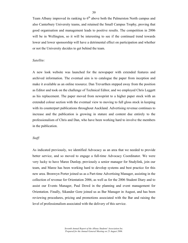Team Albany improved its ranking to  $6<sup>th</sup>$  above both the Palmerston North campus and also Canterbury University teams, and retained the Small Campus Trophy, proving that good organisation and management leads to positive results. The competition in 2006 will be in Wellington, so it will be interesting to see if the continued trend towards lower and lower sponsorship will have a detrimental effect on participation and whether or not the University decides to get behind the team.

#### *Satellite:*

A new look website was launched for the newspaper with extended features and archived information. The eventual aim is to catalogue the paper from inception and make it available as an online resource. Dan Trevarthen stepped away from the position as Editor and took on the challenge of Technical Editor, and we employed Chris Leggett as his replacement. The paper moved from newsprint to a higher paper stock with an extended colour section with the eventual view to moving to full gloss stock in keeping with its counterpart publications throughout Auckland. Advertising revenue continues to increase and the publication is growing in stature and content due entirely to the professionalism of Chris and Dan, who have been working hard to involve the members in the publication.

#### *Staff:*

As indicated previously, we identified Advocacy as an area that we needed to provide better service, and so moved to engage a full-time Advocacy Coordinator. We were very lucky to have Maree Dunlop, previously a senior manager for Studylink, join our team, and Maree has been working hard to develop systems and best practice for this new area. Bronwyn Porter joined us as a Part-time Advertising Manager, assisting in the collection of revenue for Orientation 2006, as well as for the 2006 Student Diary and to assist our Events Manager, Paul Dowd in the planning and event management for Orientation. Finally, Sikander Gore joined us as Bar Manager in August, and has been reviewing procedures, pricing and promotions associated with the Bar and raising the level of professionalism associated with the delivery of this service.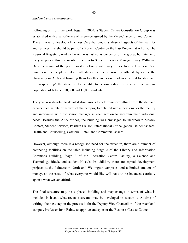#### *Student Centre Development:*

Following on from the work begun in 2003, a Student Centre Consultation Group was established with a set of terms of reference agreed by the Vice-Chancellor and Council. The aim was to develop a Business Case that would analyse all aspects of the need for and services that should be part of a Student Centre on the East Precinct at Albany. The Regional Registrar, Andrea Davies was tasked as convenor of the group, but later into the year passed this responsibility across to Student Services Manager, Gary Williams. Over the course of the year, I worked closely with Gary to develop the Business Case based on a concept of taking all student services currently offered by either the University or ASA and bringing them together under one roof in a central location and 'future-proofing' the structure to be able to accommodate the needs of a campus population of between 10,000 and 15,000 students.

The year was devoted to detailed discussions to determine everything from the demand drivers such as rate of growth of the campus, to detailed size allocations for the facility and interviews with the senior manager in each section to ascertain their individual needs. Besides the ASA offices, the building was envisaged to incorporate Massey Contact, Student Services, Pasifika Liaison, International Office, general student spaces, Health and Counselling, Cafeteria, Retail and Commercial spaces.

However, although there is a recognised need for the structure, there are a number of competing facilities on the table including Stage 2 of the Library and Information Commons Building, Stage 2 of the Recreation Centre Facility, a Science and Technology Block, and student Hostels. In addition, there are capital development projects at the Palmerston North and Wellington campuses and a limited amount of money, so the issue of what everyone would like will have to be balanced carefully against what we can afford.

The final structure may be a phased building and may change in terms of what is included in it and what revenue streams may be developed to sustain it. At time of writing, the next step in the process is for the Deputy Vice-Chancellor of the Auckland campus, Professor John Raine, to approve and sponsor the Business Case to Council.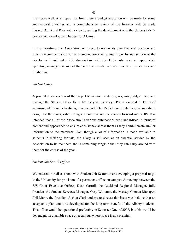If all goes well, it is hoped that from there a budget allocation will be made for some architectural drawings and a comprehensive review of the finances will be made through Audit and Risk with a view to getting the development onto the University's 5 year capital development budget for Albany.

In the meantime, the Association will need to review its own financial position and make a recommendation to the members concerning how it pay for our section of the development and enter into discussions with the University over an appropriate operating management model that will meet both their and our needs, resources and limitations.

#### *Student Diary:*

A pruned down version of the project team saw me design, organise, edit, collate, and manage the Student Diary for a further year. Bronwyn Porter assisted in terms of acquiring additional advertising revenue and Peter Radich contributed a great superhero design for the cover, establishing a theme that will be carried forward into 2006. It is intended that all of the Association's various publications are standardised in terms of content and appearance to ensure consistency across them as they communicate similar information to the members. Even though a lot of information is made available to students in differing formats, the Diary is still seen as an essential service by the Association to its members and is something tangible that they can carry around with them for the course of the year.

#### *Student Job Search Office:*

We entered into discussions with Student Job Search over developing a proposal to go to the University for provision of a permanent office on campus. A meeting between the SJS Chief Executive Officer, Dean Carroll, the Auckland Regional Manager, Julie Prentice, the Student Services Manager, Gary Williams, the Massey Contact Manager, Phil Mann, the President Joshua Clark and me to discuss this issue was held so that an acceptable plan could be developed for the long-term benefit of the Albany students. This office would be operational preferably in Semester One of 2006, but this would be dependent on available space on a campus where space is at a premium.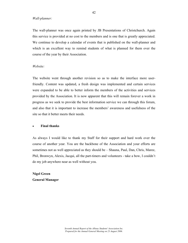#### *Wall-planner:*

The wall-planner was once again printed by JB Presentations of Christchurch. Again this service is provided at no cost to the members and is one that is greatly appreciated. We continue to develop a calendar of events that is published on the wall-planner and which is an excellent way to remind students of what is planned for them over the course of the year by their Association.

#### *Website:*

The website went through another revision so as to make the interface more userfriendly. Content was updated, a fresh design was implemented and certain services were expanded to be able to better inform the members of the activities and services provided by the Association. It is now apparent that this will remain forever a work in progress as we seek to provide the best information service we can through this forum, and also that it is important to increase the members' awareness and usefulness of the site so that it better meets their needs.

#### • **Final thanks**

As always I would like to thank my Staff for their support and hard work over the course of another year. You are the backbone of the Association and your efforts are sometimes not as well appreciated as they should be – Shauna, Paul, Dan, Chris, Maree, Phil, Bronwyn, Alexis, Jacqui, all the part-timers and volunteers - take a bow, I couldn't do my job anywhere near as well without you.

**Nigel Green General Manager**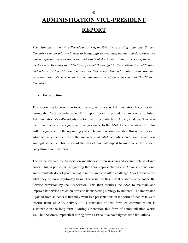# **ADMINISTRATION VICE-PRESIDENT REPORT**

*The Administration Vice-President is responsible for ensuring that the Student Executive remain informed, keep to budget, go to meetings, update and develop policy that is representative of the needs and wants of the Albany students. They organise all the General Meetings and Elections, present the budget to the students for ratification and advise on Constitutional matters as they arise. This information collection and*  dissemination role is crucial to the effective and efficient working of the Student *Executive.* 

# • **Introduction**

This report has been written to outline my activities as Administration Vice-President during the 2005 calendar year. This report seeks to provide an overview to future Administration Vice-Presidents and to remain accountable to Albany students. This year there have been some significant changes made to the ASA Executive structure. This will be significant in the upcoming years. The main recommendation this report seeks to articulate is concerned with the marketing of ASA activities and brand awareness amongst students. This is one of the areas I have attempted to improve in the student body throughout my term.

The value derived by Association members is often unseen and occurs behind closed doors. This in particular is regarding the ASA Representation and Advocacy functional areas. Students do not perceive value in this area and often challenge ASA Executive on what they do on a day-to-day basis. The result of this is that students only notice the Service provision by the Association. This then requires the ASA to maintain and improve its service provision arm and its marketing strategy to students. The impression I gained from students is that they want live presentations in the form of lecture talks to inform them of ASA activity. It is debatable if this form of communication is sustainable in the long term. During Orientation this form of communication works well, but becomes impractical during term as Executive have tighter time limitations.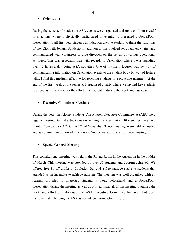#### • **Orientation**

During the semester I made sure ASA events were organised and run well. I put myself in situations where I physically participated in events. I presented a PowerPoint presentation to all first year students at induction days to explain to them the functions of the ASA with Johann Bondesio. In addition to this I helped set up tables, chairs, and communicated with volunteers to give direction on the set up of various operational activities. This was especially true with regards to Orientation where I was spending over 12 hours a day doing ASA activities. One of my main focuses was by way of communicating information on Orientation events to the student body by way of lecture talks. I find this medium effective for reaching students in a proactive manner. At the end of the first week of the semester I organised a party where we invited key students to attend as a thank you for the effort they had put in during the week and last year.

#### • **Executive Committee Meetings**

During the year, the Albany Students' Association Executive Committee (ASAEC) held regular meetings to make decisions on running the Association. 30 meetings were held in total from January  $10^{th}$  to the  $25^{th}$  of November. These meetings were held as needed and as commitments allowed. A variety of topics were discussed at these meetings.

#### • **Special General Meeting**

This constitutional meeting was held in the Round Room in the Atrium on in the middle of March. This meeting was attended by over 50 students and quorum achieved. We offered free \$1 off drinks at Evolution Bar and a free sausage sizzle to students that attended as an incentive to achieve quorum. The meeting was well-organised with an Agenda provided to interested students a week beforehand and a PowerPoint presentation during the meeting as well as printed material. In this meeting, I praised the work and effort of individuals the ASA Executive Committee had seen had been instrumental in helping the ASA as volunteers during Orientation.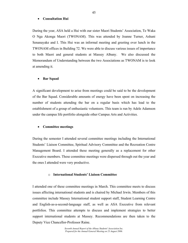#### • **Consultation Hui**

During the year, ASA held a Hui with our sister Maori Students' Association, Te Waka O Nga Akonga Maori (TWONAM). This was attended by Joanne Turner, Ashani Senanayake and I. This Hui was an informal meeting and greeting over lunch in the TWONAM offices in Building 72. We were able to discuss various issues of importance to both Maori and general students at Massey Albany. We also discussed the Memorandum of Understanding between the two Associations as TWONAM is to look at amending it.

#### • **Bar Squad**

A significant development to arise from meetings could be said to be the development of the Bar Squad. Considerable amounts of energy have been spent on increasing the number of students attending the bar on a regular basis which has lead to the establishment of a group of enthusiastic volunteers. This team is run by Adele Adamson under the campus life portfolio alongside other Campus Arts and Activities.

#### • **Committee meetings**

During the semester I attended several committee meetings including the International Students' Liaison Committee, Spiritual Advisory Committee and the Recreation Centre Management Board. I attended these meeting generally as a replacement for other Executive members. These committee meetings were dispersed through out the year and the ones I attended were very productive.

## o **International Students' Liaison Committee**

I attended one of these committee meetings in March. This committee meets to discuss issues affecting international students and is chaired by Michael Irwin. Members of this committee include Massey International student support staff, Student Learning Centre and English-as-a-second-language staff, as well as ASA Executive from relevant portfolios. This committee attempts to discuss and implement strategies to better support international students at Massey. Recommendations are then taken to the Deputy Vice Chancellor-Professor Raine.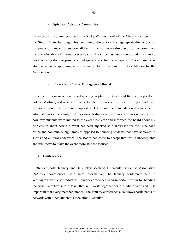#### o **Spiritual Advisory Committee**

I attended this committee chaired by Ricky Walters, head of the Chaplaincy centre in the Study Centre building. This committee strives to encourage spirituality issues on campus and is meant to support all faiths. Topical issues discussed by this committee include allocation of Islamic prayer space. This space has now been provided and more work is being done to provide an adequate space for further space. This committee is also tasked with approving new spiritual clubs on campus prior to affiliation by the Association.

#### o **Recreation Centre Management Board**

I attended this management board meeting in place of Sports and Recreation portfolio holder, Martin Quest who was unable to attend. I was on this board last year and have experience on how this board operates. The main recommendation I was able to articulate was concerning the Blues awards dinner and ceremony. I was unhappy with how few students were invited to the event last year and informed the board about my displeasure about how the event has been hijacked as a showcase for the Principal's office and community big names as opposed to honoring students that have achieved in sports and cultural endeavors. The Board has come to accept that this is unacceptable and will move to make the event more student-focused.

#### • **Conferences**

I attended both January and July New Zealand University Students' Association (NZUSA) conferences. Both were informative. The January conference held in Wellington was very productive. January conference is an important forum for bonding the new Executive into a team that will work together for the whole year and it is important that every member attends. The January conference also allows participants to network with other students' association Executive.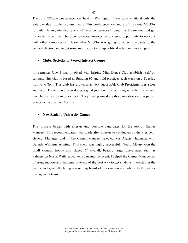The July NZUSA conference was held in Wellington. I was able to attend only the Saturday due to other commitments. This conference was more of the same NZUSA formula. Having attended several of these conferences I found that the material did get somewhat repetitive. These conferences however were a good opportunity to network with other campuses and learn what NZUSA was going to do with regards to the general election and to get some motivation to set up political action on this campus.

#### • **Clubs, Societies or Vested Interest Groups**

 In Semester One, I was involved with helping Mint Dance Club establish itself on campus. This club is based in Building 96 and hold practices each week on a Tuesday from 6 to 8pm. This club has grown as is very successful. Club Presidents: Lesia Lee and Geoff Brown have been doing a great job. I will be working with them to ensure this club carries on into next year. They have planned a Salsa party showcase as part of Semester Two Winter Festival.

# • **New Zealand University Games**

This process began with interviewing possible candidates for the job of Games Manager. This recommendation was made after interviews conducted by the President, General Manager, and I. The Games Manager selected was Alexis Thuynsma with Belinda Williams assisting. This event was highly successful. Team Albany won the small campus trophy and placed  $6<sup>th</sup>$  overall, beating larger universities such as Palmerston North. With respect to organising the event, I helped the Games Manager by offering support and dialogue in terms of the best way to get students interested in the games and generally being a sounding board of information and advice to the games management team.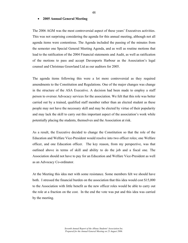#### • **2005 Annual General Meeting**

The 2006 AGM was the most controversial aspect of these years' Executives activities. This was not surprising considering the agenda for this annual meeting, although not all agenda items were contentious. The Agenda included the passing of the minutes from the semester one Special General Meeting Agenda, and as well as routine motions that lead to the ratification of the 2004 Financial statements and Audit, as well as ratification of the motions to pass and accept Davenports Harbour as the Association's legal counsel and Christmas Gouwland Ltd as our auditors for 2005.

The agenda items following this were a lot more controversial as they required amendments to the Constitution and Regulations. One of the major changes was change in the structure of the ASA Executive. A decision had been made to employ a staff person to oversee Advocacy services for the association. We felt that this role was better carried out by a trained, qualified staff member rather than an elected student as these people may not have the necessary skill and may be elected by virtue of their popularity and may lack the skill to carry out this important aspect of the association's work while potentially placing the students, themselves and the Association at risk.

As a result, the Executive decided to change the Constitution so that the role of the Education and Welfare Vice-President would resolve into two officer roles; one Welfare officer, and one Education officer. The key reason, from my perspective, was that outlined above in terms of skill and ability to do the job and a fiscal one. The Association should not have to pay for an Education and Welfare Vice-President as well as an Advocacy Co-ordinator.

At the Meeting this idea met with some resistance. Some members felt we should have both. I stressed the financial burden on the association that this idea would cost \$15,000 to the Association with little benefit as the new officer roles would be able to carry out the role at a fraction on the cost. In the end the vote was put and this idea was carried by the meeting.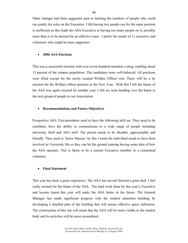Other changes had been suggested such as limiting the numbers of people who could run jointly for roles on the Executive. I felt having two people run for the same position is inefficient as this leads the ASA Executive to having too many people on it; possibly more than is to be desired for an effective team. I prefer the model of 11 executive and volunteers who might be keen supporters.

#### • **2006 ASA Elections**

This was a successful election with over seven hundred members voting, totalling about 13 percent of the campus population. The candidates were well-behaved. All positions were filled except for the newly created Welfare Officer role. There will be a by election for the Welfare officer position in the New Year. With this I felt the future of the ASA was again secured for another year. I felt we were handing over the baton to the next group of people to run Association.

#### • **Recommendations and Future Objectives**

Prospective ASA Vice-presidents need to have the following skill set. They need to be confident, have the ability to communicate to a wide range of people including university Staff and ASA staff. The person needs to be likeable, approachable and friendly. They need to 'know Massey' by this I mean the individual needs to have been involved in University life so they can hit the ground running having some idea of how the ASA operates. This is likely to be a current Executive member or a committed volunteer.

#### • **Final Statement**

This year has been a great experience. The ASA has moved forward a great deal. I feel really excited for the future of the ASA. The hard work done by this year's Executive and lessons learnt this year will make the ASA better in the future. The General Manager has made significant progress with the student amenities building by developing a detailed plan of the building that will ensure effective space utilisation. The construction of this site will mean that the ASA will be more visible to the student body and its activities will be more streamlined.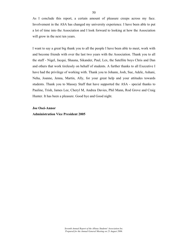As I conclude this report, a certain amount of pleasure creeps across my face. Involvement in the ASA has changed my university experience. I have been able to put a lot of time into the Association and I look forward to looking at how the Association will grow in the next ten years.

I want to say a great big thank you to all the people I have been able to meet, work with and become friends with over the last two years with the Association. Thank you to all the staff - Nigel, Jacqui, Shauna, Sikander, Paul, Lex, the Satellite boys Chris and Dan and others that work tirelessly on behalf of students. A further thanks to all Executive I have had the privilege of working with. Thank you to Johann, Josh, Sue, Adele, Ashani, Neha, Joanne, Jenna, Martin, Ally, for your great help and your attitudes towards students. Thank you to Massey Staff that have supported the ASA - special thanks to Pauline, Trish, James Lee, Cheryl M, Andrea Davies, Phil Mann, Rod Grove and Craig Hunter. It has been a pleasure. Good bye and Good night.

## **Joe Osei-Annor**

**Administration Vice President 2005**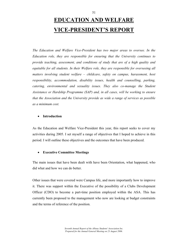# **EDUCATION AND WELFARE VICE-PRESIDENT'S REPORT**

*The Education and Welfare Vice-President has two major areas to oversee. In the Education role, they are responsible for ensuring that the University continues to provide teaching, assessment, and conditions of study that are of a high quality and equitable for all students. In their Welfare role, they are responsible for overseeing all matters involving student welfare – childcare, safety on campus, harassment, host responsibility, accommodation, disability issues, health and counselling, parking, catering, environmental and sexuality issues. They also co-manage the Student Assistance or Hardship Programme (SAP) and, in all cases, will be working to ensure that the Association and the University provide as wide a range of services as possible as a minimum cost.* 

# • **Introduction**

As the Education and Welfare Vice-President this year, this report seeks to cover my activities during 2005. I set myself a range of objectives that I hoped to achieve in this period. I will outline these objectives and the outcomes that have been produced.

# • **Executive Committee Meetings**

The main issues that have been dealt with have been Orientation, what happened, who did what and how we can do better.

Other issues that were covered were Campus life, and more importantly how to improve it. There was support within the Executive of the possibility of a Clubs Development Officer (CDO) to become a part-time position employed within the ASA. This has currently been proposed to the management who now are looking at budget constraints and the terms of reference of the position.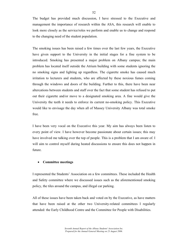The budget has provided much discussion, I have stressed to the Executive and management the importance of research within the ASA, this research will enable to look more closely as the service/roles we perform and enable us to change and respond to the changing need of the student population.

The smoking issues has been raised a few times over the last few years, the Executive have given support to the University in the initial stages for a fine system to be introduced. Smoking has presented a major problem on Albany campus; the main problem has located itself outside the Atrium building with some students ignoring the no smoking signs and lighting up regardless. The cigarette smoke has caused much irritation to lecturers and students, who are affected by these noxious fumes coming through the windows and doors of the building. Further to this, there have been near altercations between students and staff over the fact that some student has refused to put out their cigarette and/or move to a designated smoking area. A fine would give the University the teeth it needs to enforce its current no-smoking policy. This Executive would like to envisage the day when all of Massey University Albany was total smoke free.

I have been very vocal on the Executive this year. My aim has always been listen to every point of view. I have however become passionate about certain issues; this may have involved me talking over the top of people. This is a problem that I am aware of. I will aim to control myself during heated discussions to ensure this does not happen in future.

#### • **Committee meetings**

I represented the Students' Association on a few committees. These included the Health and Safety committee where we discussed issues such as the aforementioned smoking policy, the tiles around the campus, and illegal car parking.

All of these issues have been taken back and voted on by the Executive, as have matters that have been raised at the other two University-related committees I regularly attended: the Early Childhood Centre and the Committee for People with Disabilities.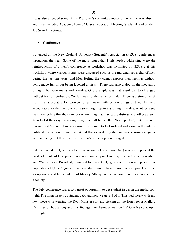I was also attended some of the President's committee meeting's when he was absent, and these included Academic board, Massey Federation Meeting, Studylink and Student Job Search meetings.

# • **Conferences**

I attended all the New Zealand University Students' Association (NZUS) conferences throughout the year. Some of the main issues that I felt needed addressing were the reintroduction of a men's conference. A workshop was facilitated by NZUSA at this workshop where various issues were discussed such as the marginalised rights of men during the last ten years, and Men feeling they cannot express their feelings without being made fun of our being labelled a 'sissy'. There was also dialog on the inequality of rights between males and females. One example was that a girl can touch a guy without fear or retribution. We felt was not the same for males. There is a strong belief that it is acceptable for women to get away with certain things and not be held accountable for their actions - this stems right up to assaulting of males. Another issue was men feeling that they cannot say anything that may cause distress to another person. Men feel if they say the wrong thing they will be labelled, 'homophobe', 'heterosexist', 'racist', and 'sexist'. This has caused many men to feel isolated and alone in the tide of political correctness. Some men stated that even during the conference some delegates were unhappy that there even was a men's workshop being staged.

I also attended the Queer workshop were we looked at how UniQ can best represent the needs of wants of this special population on campus. From my perspective as Education and Welfare Vice-President, I wanted to see a UniQ group set up on campus so our population of Queer/ Queer friendly students would have a voice on campus. I feel this group would add to the culture of Massey Albany and be an asset to our development as a society.

The July conference was also a great opportunity to get student issues in the media spot light. The main issue was student debt and how we get rid of it. This tied nicely with my next piece with wearing the Debt Monster suit and picking up the Hon Trevor Mallard (Minister of Education) and this footage then being played on TV One News at 6pm that night.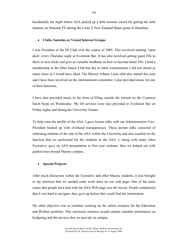Incidentally the night before ASA picked up a debt monster award for getting the debt monster on National TV during the Lions V New Zealand Maori game in Hamilton.

# • **Clubs, Societies or Vested Interest Groups**

I was President of the DJ Club over the course of 2005. This involved running 'open deck' every Thursday night at Evolution Bar. It has also involved getting guest DJs to show us new tricks and give us valuable feedback on how to become better DJs. I held a membership in the Mint Dance Club but due to other commitments I did not attend as many times as I would have liked. The Massey Albany Lions club also started this year and I have been involved on the entertainment committee. I also provided music for one of their functions.

I have also provided music in the form of DJing outside the Atrium on the Common lunch break on Wednesday. My DJ services were also provided to Evolution Bar on Friday nights and during the University Games.

To help raise the profile of the ASA, I gave lecture talks with our Administration Vice-President backed up with overhead transparencies. These lecture talks consisted of informing students of the role of the ASA within the University and also touched on the function that we performed for the students in the ASA. I, along with many other Executive, gave an ASA presentation to first year students, then we helped out with guided tours around Massey campus.

# • **Special Projects**

After much discussion within the Executive and other Massey students, it was brought to my attention that we needed some work done on our web page. One of the main issues that people have had with the ASA Web page was the layout. People complained that it was hard to navigate; they gave up before they could find the information.

My other objective was to continue working on the online resource for the Education and Welfare portfolio. This electronic resource would contain valuable information on budgeting and the services that we provide on campus.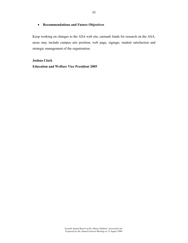# • **Recommendations and Future Objectives**

Keep working on changes to the ASA web site, earmark funds for research on the ASA, areas may include campus arts position, web page, signage, student satisfaction and strategic management of the organisation.

**Joshua Clark Education and Welfare Vice President 2005**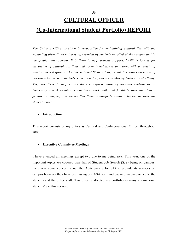# **CULTURAL OFFICER**

# **(Co-International Student Portfolio) REPORT**

*The Cultural Officer position is responsible for maintaining cultural ties with the expanding diversity of cultures represented by students enrolled at the campus and in the greater environment. It is there to help provide support, facilitate forums for discussion of cultural, spiritual and recreational issues and work with a variety of special interest groups. The International Students' Representative works on issues of relevance to overseas students' educational experience at Massey University at Albany. They are there to help ensure there is representation of overseas students on al University and Association committees, work with and facilitate overseas student groups on campus, and ensure that there is adequate national liaison on overseas student issues.* 

#### • **Introduction**

This report consists of my duties as Cultural and Co-International Officer throughout 2005.

#### • **Executive Committee Meetings**

I have attended all meetings except two due to me being sick. This year, one of the important topics we covered was that of Student Job Search (SJS) being on campus; there was some concern about the ASA paying for SJS to provide its services on campus however they have been using our ASA staff and causing inconvenience to the students and the office staff. This directly affected my portfolio as many international students' use this service.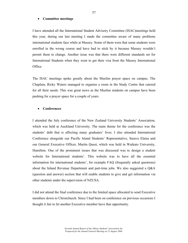#### • **Committee meetings**

I have attended all the International Student Advisory Committee (ISAC)meetings held this year, during our last meeting I made the committee aware of many problems international students face while at Massey. Some of them were that some students were enrolled in the wrong course and have had to stick by it because Massey wouldn't permit them to change. Another issue was that there were different standards set for International Students when they went to get their visa from the Massey International Office.

The ISAC meetings spoke greatly about the Muslim prayer space on campus. The Chaplain, Ricky Waters managed to organise a room in the Study Centre that catered for all their needs. This was great news as the Muslim students on campus have been pushing for a prayer space for a couple of years.

#### • **Conferences**

I attended the July conference of the New Zealand University Students' Association, which was held at Auckland University. The main theme for the conference was the students' debt that is affecting many graduates' lives. I also attended International Conference alongside our Pacific Island Students' Representative, Surava Elaisa and our General Executive Officer, Martin Quest, which was held in Waikato University, Hamilton. One of the prominent issues that was discussed was to design a student website for International students'. This website was to have all the essential information for international students', for example FAQ (frequently asked questions) about the Inland Revenue Department and part-time jobs. We also suggested a Q&A (question and answer) section that will enable students to give and get information via other students under the supervision of NZUSA.

I did not attend the final conference due to the limited space allocated to send Executive members down to Christchurch. Since I had been on conference on previous occasions I thought it fair to let another Executive member have that opportunity.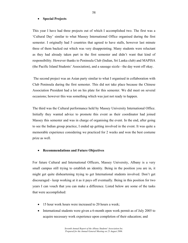#### • **Special Projects**

This year I have had three projects out of which I accomplished two. The first was a 'Cultural Day' similar to what Massey International Office organised during the first semester. I originally had 5 countries that agreed to have stalls, however last minute three of them backed out which was very disappointing. Many students were reluctant as they had already taken part in the first semester and didn't want that kind of responsibility. However thanks to Peninsula Club (Indian, Sri Lanka club) and MAPISA (the Pacific Island Students' Association), and a sausage sizzle - the day went off okay.

 The second project was an Asian party similar to what I organised in collaboration with Club Peninsula during the first semester. This did not take place because the Chinese Association President had a lot on his plate for this semester. We did meet on several occasions; however this was something which was just not ready to happen.

The third was the Cultural performance held by Massey University International Office. Initially they wanted advice to promote this event as their coordinator had joined Massey this semester and was in charge of organising the event. In the end, after going to see the Indian group practice, I ended up getting involved in the event. It was quite a memorable experience considering we practiced for 2 weeks and won the best costume prize as well.

#### • **Recommendations and Future Objectives**

For future Cultural and International Officers, Massey University, Albany is a very small campus still trying to establish an identity. Being in the position you are in, it might get quite disheartening trying to get International students involved. Don't get discouraged - keep working at it as it pays off eventually. Being in this position for two years I can vouch that you can make a difference. Listed below are some of the tasks that were accomplished:

- 15 hour work hours were increased to 20 hours a week;
- International students were given a 6-month open work permit as of July 2005 to acquire necessary work experience upon completion of their education; and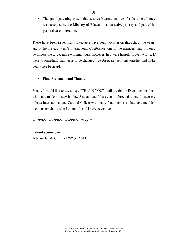• The grand parenting system that secures International fees for the time of study was accepted by the Ministry of Education as an active priority and part of its pastoral case programme.

These have been issues many Executive have been working on throughout the years, and at the previous year's International Conference, one of the members said it would be impossible to get more working hours, however they were happily proven wrong. If there is something that needs to be changed - go for it, get petitions together and make your voice be heard.

# • **Final Statement and Thanks**

Finally I would like to say a huge "THANK YOU" to all my fellow Executive members who have made my stay in New Zealand and Massey an unforgettable one. I leave my role as International and Cultural Officer with many fond memories that have moulded me into somebody who I thought I could have never been.

# MASSEY! MASSEY! MASSEY! OI OI OI.

**Ashani Senanayke International/ Cultural Officer 2005**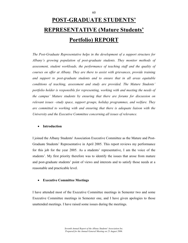# **POST-GRADUATE STUDENTS' REPRESENTATIVE (Mature Students' Portfolio) REPORT**

*The Post-Graduate Representative helps in the development of a support structure for Albany's growing population of post-graduate students. They monitor methods of assessment, student workloads, the performance of teaching staff and the quality of courses on offer at Albany. They are there to assist with grievances, provide training and support to post-graduate students and to ensure that in all areas equitable conditions of teaching, assessment and study are provided. The Mature Students' portfolio holder is responsible for representing, working with and meeting the needs of the campus' Mature students by ensuring that there are forums for discussion on relevant issues –study space, support groups, holiday programmes, and welfare. They are committed to working with and ensuring that there is adequate liaison with the University and the Executive Committee concerning all issues of relevance.* 

# • **Introduction**

I joined the Albany Students' Association Executive Committee as the Mature and Post-Graduate Students' Representative in April 2005. This report reviews my performance for this job for the year 2005. As a students' representative, I am the voice of the students'. My first priority therefore was to identify the issues that arose from mature and post-graduate students' point of views and interests and to satisfy those needs at a reasonable and practicable level.

# • **Executive Committee Meetings**

I have attended most of the Executive Committee meetings in Semester two and some Executive Committee meetings in Semester one, and I have given apologies to those unattended meetings. I have raised some issues during the meetings.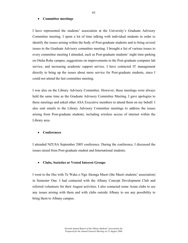#### • **Committee meetings**

I have represented the students' association at the University's Graduate Advisory Committee meeting. I spent a lot of time talking with individual students in order to identify the issues arising within the body of Post-graduate students and to bring several issues to the Graduate Advisory committee meeting. I brought a list of various issues to every committee meeting I attended, such as Post-graduate students' night time parking on Oteha Rohe campus, suggestions on improvements to the Post-graduate computer lab service, and increasing academic support service. I have contacted IT management directly to bring up the issues about more service for Post-graduate students, since I could not attend the last committee meeting.

I was also on the Library Advisory Committee. However, these meetings were always held the same time as the Graduate Advisory Committee Meeting. I gave apologies to these meetings and asked other ASA Executive members to attend them on my behalf. I also sent emails to the Library Advisory Committee meetings to address the issues arising from Post-graduate students, including wireless access of internet within the Library area.

#### • **Conferences**

I attended NZUSA September 2005 conference. During the conference, I discussed the issues raised from Post-graduate student and International students.

#### • **Clubs, Societies or Vested Interest Groups**

I went to the Hui with Te Waka o Nga Akonga Maori (the Maori students' association) in Semester One. I had contacted with the Albany Concept Development Club and referred volunteers for their August activities. I also contacted some Asian clubs to see any issues arising with them and with clubs outside Albany to see any possibility to bring them to Albany campus.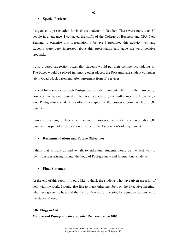## • **Special Projects**

I organised a presentation for business students in October. There were more than 80 people in attendance. I contacted the staffs of the College of Business and CFA New Zealand to organise this presentation. I believe I promoted this activity well and students were very interested about this presentation and gave me very positive feedback.

I also ordered suggestion boxes that students would put their comment/complaints in. The boxes would be placed in, among other places, the Post-graduate student computer lab in Quad Block basement, after agreement from IT Services.

I asked for a stapler for each Post-graduate student computer lab from the University; however this was not passed on the Graduate advisory committee meeting. However, a kind Post-graduate student has offered a stapler for the post-grad computer lab in QB basement.

I am also planning to place a fax machine in Post-graduate student computer lab in QB basement, as part of a reallocation of some of the Association's old equipment.

### • **Recommendations and Future Objectives**

I think that to walk up and to talk to individual students would be the best way to identify issues arising through the body of Post-graduate and International students.

# • **Final Statement**

At the end of this report, I would like to thank the students who have given me a lot of help with my work. I would also like to thank other members on the Executive meeting, who have given me help and the staff of Massey University, for being so responsive to the students' needs.

**Ally Yingyao Cui Mature and Post-graduate Students' Representative 2005**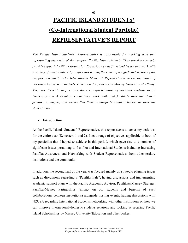# **PACIFIC ISLAND STUDENTS' (Co-International Student Portfolio) REPRESENTATIVE'S REPORT**

*The Pacific Island Students' Representative is responsible for working with and representing the needs of the campus' Pacific Island students. They are there to help provide support, facilitate forums for discussion of Pacific Island issues and work with a variety of special interest groups representing the views of a significant section of the campus community. The International Students' Representative works on issues of relevance to overseas students' educational experience at Massey University at Albany. They are there to help ensure there is representation of overseas students on al University and Association committees, work with and facilitate overseas student groups on campus, and ensure that there is adequate national liaison on overseas student issues.* 

# • **Introduction**

As the Pacific Islands Students' Representative, this report seeks to cover my activities for the entire year (Semesters 1 and 2). I set a range of objectives applicable to both of my portfolios that I hoped to achieve in this period, which gave rise to a number of significant issues pertaining to Pasifika and International Students including increasing Pasifika Awareness and Networking with Student Representatives from other tertiary institutions and the community.

In addition, the second half of the year was focused mainly on strategic planning issues such as discussions regarding a "Pasifika Fale", having discussions and implementing academic support plans with the Pacific Academic Advisor, Pasifika@Massey Strategy, Pasifika-Massey Partnerships (impact on our students and benefits of such collaborations between institutions) alongside hosting events, having discussions with NZUSA regarding International Students, networking with other Institutions on how we can improve international-domestic students relations and looking at securing Pacific Island Scholarships by Massey University/Education and other bodies.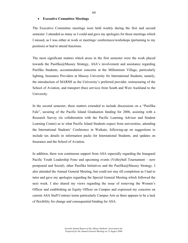#### • **Executive Committee Meetings**

The Executive Committee meetings were held weekly during the first and second semester. I attended as many as I could and gave my apologies for those meetings which I missed, as I was either at work or meetings/ conferences/workshops (pertaining to my position) or had to attend functions.

The most significant matters which arose in the first semester were the work placed towards the Pasifika@Massey Strategy, ASA's involvement and assistance regarding Pasifika Students, accommodation concerns at the Millennium Village, particularly lighting, Insurance Providers at Massey University for International Students, namely, the introduction of MARSH as the University's preferred provider, restructuring of the School of Aviation, and transport (bus) services from South and West Auckland to the University.

In the second semester, these matters extended to include discussions on a "Pasifika Fale", securing of the Pacific Island Graduation funding for 2006, assisting with a Research Survey (in collaboration with the Pacific Learning Advisor and Student Learning Centre) as to what Pacific Island Students expect from universities, attending the International Students' Conference in Waikato, following-up on suggestions to include tax details in information packs for International Students, and updates on Insurance and the School of Aviation.

In addition, there was continuous support from ASA especially regarding the Inaugural Pacific Youth Leadership Fono and upcoming events (Volleyball Tournament – now postponed and Social), other Pasifika Initiatives and the Pasifika@Massey Strategy. I also attended the Annual General Meeting, but could not stay till completion as I had to tutor and gave my apologies regarding the Special General Meeting which followed the next week. I also shared my views regarding the issue of removing the Women's Officer and establishing an Equity Officer on Campus and expressed my concerns on current ASA Staff Contract terms particularly Campus Arts as there appears to be a lack of flexibility for change and consequential binding for ASA.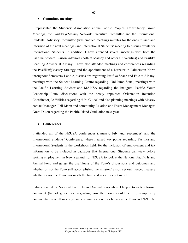#### • **Committee meetings**

I represented the Students' Association at the Pacific Peoples' Consultancy Group Meetings, the Pasifika@Massey Network Executive Committee and the International Students' Advisory Committee (was emailed meetings minutes for the ones missed and informed of the next meetings) and International Students' meeting to discuss events for International Students. In addition, I have attended several meetings with both the Pasifika Student Liaison Advisors (both at Massey and other Universities) and Pasifika Learning Advisor at Albany. I have also attended meetings and conferences regarding the Pasifika@Massey Strategy and the appointment of a Director in Palmerston North throughout Semesters 1 and 2, discussions regarding Pasifika Space and Fale at Albany, meetings with the Student Learning Centre regarding 'Uni Jump Start', meetings with the Pacific Learning Advisor and MAPISA regarding the Inaugural Pacific Youth Leadership Fono, discussions with the newly appointed Orientation Retention Coordinator, Jo Wilkins regarding 'Uni Guide' and also planning meetings with Massey contact Manager, Phil Mann and community Relation and Event Management Manager, Grant Dixon regarding the Pacific Island Graduation next year.

#### • **Conferences**

I attended all of the NZUSA conferences (January, July and September) and the International Students' Conference, where I raised key points regarding Pasifika and International Students in the workshops held: for the inclusion of employment and tax information to be included in packages that International Students can view before seeking employment in New Zealand, for NZUSA to look at the National Pacific Island Annual Fono and gauge the usefulness of the Fono's discussions and outcomes and whether or not the Fono still accomplished the mission/vision set out, hence, measure whether or not the Fono was worth the time and resources put into it.

I also attended the National Pacific Island Annual Fono where I helped to write a formal document (list of guidelines) regarding how the Fono should be run, compulsory documentation of all meetings and communication lines between the Fono and NZUSA.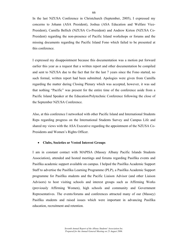In the last NZUSA Conference in Christchurch (September, 2005), I expressed my concerns to Johann (ASA President), Joshua (ASA Education and Welfare Vice-President), Camilla Bellich (NZUSA Co-President) and Andrew Kirton (NZUSA Co-President) regarding the non-presence of Pacific Island workshops or forums and the missing documents regarding the Pacific Island Fono which failed to be presented at this conference.

I expressed my disappointment because this documentation was a motion put forward earlier this year as a request that a written report and other documentation be compiled and sent to NZUSA due to the fact that for the last 7 years since the Fono started, no such formal, written report had been submitted. Apologies were given from Camilla regarding the matter during Closing Plenary which was accepted, however, it was sad that nothing "Pacific" was present for the entire time of the conference aside from a Pacific Island Speaker at the Education/Polytechnic Conference following the close of the September NZUSA Conference.

Also, at this conference I networked with other Pacific Island and International Students Reps regarding progress on the International Students Survey and Campus Life and shared my views with the ASA Executive regarding the appointment of the NZUSA Co-Presidents and Women's Rights Officer.

#### • **Clubs, Societies or Vested Interest Groups**

I am in constant contact with MAPISA (Massey Albany Pacific Islands Students Association), attended and hosted meetings and forums regarding Pasifika events and Pasifika academic support available on campus. I helped the Pasifika Academic Support Staff to advertise the Pasifika Learning Programme (PLP), a Pasifika Academic Support programme for Pasifika students and the Pacific Liaison Advisor (and other Liaison Advisors) to host visiting schools and interest groups such as Affirming Works (previously Affirming Women), high schools and community and Government Representatives. The events/forums and conferences attracted many of our (Massey) Pasifika students and raised issues which were important in advancing Pasifika education, recruitment and retention.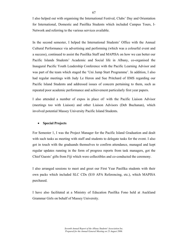I also helped out with organising the International Festival, Clubs' Day and Orientation for International, Domestic and Pasifika Students which included Campus Tours, I-Network and referring to the various services available.

In the second semester, I helped the International Students' Office with the Annual Cultural Performance via advertising and performing (which was a colourful event and a success), continued to assist the Pasifika Staff and MAPISA on how we can better our Pacific Islands Students' Academic and Social life in Albany, co-organised the Inaugural Pacific Youth Leadership Conference with the Pacific Learning Advisor and was part of the team which staged the 'Uni Jump Start Programme'. In addition, I also had regular meetings with Judy Le Heron and Sue Pritchard of IIMS regarding our Pacific Island Students and addressed issues of concern pertaining to them, such as repeated poor academic performance and achievement particularly first year papers.

I also attended a number of expos in place of/ with the Pacific Liaison Advisor (meetings too with Liaison) and other Liaison Advisors (Deb Buchanan), which involved potential Massey University Pacific Island Students.

# • **Special Projects**

For Semester 1, I was the Project Manager for the Pacific Island Graduation and dealt with such tasks as meeting with staff and students to delegate tasks for the event. I also got in touch with the graduands themselves to confirm attendance, managed and kept regular updates running in the form of progress reports from task managers, got the Chief Guests' gifts from Fiji which were collectibles and co-conducted the ceremony.

I also arranged sessions to meet and greet our First Year Pasifika students with their own packs which included SLC CDs (\$10 APA Referencing, etc.), which MAPISA purchased.

I have also facilitated at a Ministry of Education Pasifika Fono held at Auckland Grammar Girls on behalf of Massey University.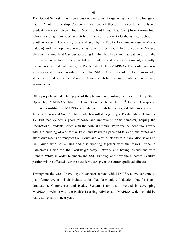The Second Semester has been a busy one in terms of organising events. The Inaugural Pacific Youth Leadership Conference was one of these; it involved Pacific Island Student Leaders (Prefects, House Captains, Head Boys/ Head Girls) from various high schools ranging from Westlake Girls on the North Shore to Otahuhu High School in South Auckland. The survey was analysed (by the Pacific Learning Advisor – Moses Faleolo) and the top three reasons as to why they would like to come to Massey University's Auckland Campus according to what they knew and had gathered from the Conference were firstly, the peaceful surroundings and study environment, secondly, the courses offered and thirdly, the Pacific Island Club (MAPISA). The conference was a success and it was rewarding to see that MAPISA was one of the top reasons why students would come to Massey. ASA's contribution and continued is greatly acknowledged.

Other projects included being part of the planning and hosting team for Uni Jump Start, Open Day, MAPISA's 'Island' Theme Social on November 19<sup>th</sup> for which response from other institutions, MAPISA's family and friends has been good. Also meeting with Judy Le Heron and Sue Pritchard, which resulted in getting a Pacific Island Tutor for 157.100 that yielded a good response and improvement this semester, helping the International Students Office with the Annual Cultural Performance, continuous work with the building of a "Pasifika Fale" and Pasifika Space and talks on bus routes and alternative means of transport from South and West Auckland to Albany, discussions on Uni Guide with Jo Wilkins and also working together with the Maori Office in Palmerston North via the Pasifika@Massey Network and having discussions with Frances White in order to understand SSG Funding and how the allocated Pasifika portion will be affected over the next few years given the current political climate.

Throughout the year, I have kept in constant contact with MAPISA as we continue to plan future events which include a Pasifika Orientation/ Induction, Pacific Island Graduation, Conferences and Buddy System. I am also involved in developing MAPISA's website with the Pacific Learning Advisor and MAPISA which should be ready at the start of next year.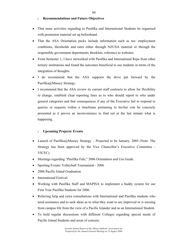# • **Recommendations and Future Objectives**

- That more activities regarding to Pasifika and International Students be organised with promotion material set up beforehand.
- That the ASA Orientation packs include information such as tax/employment conditions, thresholds and rates either through NZUSA material or through the responsible government departments )booklets, reference to websites.
- From Semester 1, I have networked with Pasifika and International Reps from other tertiary institutions and found the outcomes beneficial to our students in terms of the integration of thoughts.
- I do recommend that the ASA supports the drive put forward by the Pasifika@Massey Strategy.
- I recommend that the ASA review its current staff contracts to allow for flexibility to change, establish clear reporting lines as to who should report to who under general categories and that consequences if any of the Executive fail to respond to queries or requests within a timeframe pertaining to his/her role be concisely presented as it proves an inconvenience to find out at the last minute what is happening.

# • **Upcoming Projects/ Events**

- Launch of Pasifika@Massey Strategy Projected to be January, 2005 (Note: The Strategy has been approved by the Vice Chancellor's Executive Committee - VICEC).
- Meetings regarding "Pasifika Fale," 2006 Orientation and Uni Guide.
- Sporting Events/ Volleyball Tournament 2006
- 2006 Pacific Island Graduation
- International Festival.
- Working with Pasifika Staff and MAPISA to implement a buddy system for our First Year Pasifika Students for 2006.
- Referring help and extra consultations with International and Pasifika students who need assistance and to seek ideas as to what they want to see improved or is missing from campus life from the view of a Pacific Islander and as an International Student.
- To hold regular discussions with different Colleges regarding special needs of Pacific Island Students and areas of concern.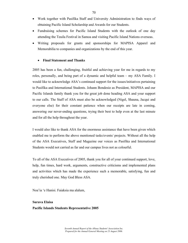- Work together with Pasifika Staff and University Administration to finds ways of obtaining Pacific Island Scholarship and Awards for our Students.
- Fundraising schemes for Pacific Island Students with the outlook of one day attending the Teuila Festival in Samoa and visiting Pacific Island Nations overseas.
- Writing proposals for grants and sponsorships for MAPISA Apparel and Memorabilia to companies and organizations by the end of this year.

# • **Final Statement and Thanks**

2005 has been a fun, challenging, fruitful and achieving year for me in regards to my roles, personally, and being part of a dynamic and helpful team – my ASA Family. I would like to acknowledge ASA's continued support for the issues/initiatives pertaining to Pasifika and International Students. Johann Bondesio as President, MAPISA and our Pacific Islands family thank you for the great job done heading ASA and your support to our calls. The Staff of ASA must also be acknowledged (Nigel, Shauna, Jacqui and everyone else) for their constant patience when our receipts are late in coming, answering our never-ending questions, trying their best to help even at the last minute and for all the help throughout the year.

I would also like to thank ASA for the enormous assistance that have been given which enabled me to perform the above mentioned tasks/events/ projects. Without all the help of the ASA Executives, Staff and Magazine our voices as Pasifika and International Students would not carried as far and our campus lives not as colourful.

To all of the ASA Executives of 2005, thank you for all of your continued support, love, help, fun times, hard work, arguments, constructive criticisms and implemented plans and activities which has made the experience such a memorable, satisfying, fun and truly cherished one. May God Bless ASA.

Noa'ia 'e Hanisi. Faiaksia ma alalum,

# **Surava Elaisa Pacific Islands Students Representative 2005**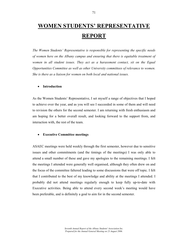# **WOMEN STUDENTS' REPRESENTATIVE REPORT**

*The Women Students' Representative is responsible for representing the specific needs of women here on the Albany campus and ensuring that there is equitable treatment of*  women in all student issues. They act as a harassment contact, sit on the Equal *Opportunities Committee as well as other University committees of relevance to women. She is there as a liaison for women on both local and national issues.* 

#### • **Introduction**

As the Women Students' Representative, I set myself a range of objectives that I hoped to achieve over the year, and as you will see I succeeded in some of them and will need to revision the others for the second semester. I am returning with fresh enthusiasm and am hoping for a better overall result, and looking forward to the support from, and interaction with, the rest of the team.

#### • **Executive Committee meetings**

ASAEC meetings were held weekly through the first semester, however due to sensitive issues and other commitments (and the timings of the meetings) I was only able to attend a small number of these and gave my apologies to the remaining meetings. I felt the meetings I attended were generally well organised, although they often drew on and the focus of the committee faltered leading to some discussions that were off topic. I felt that I contributed to the best of my knowledge and ability at the meetings I attended. I probably did not attend meetings regularly enough to keep fully up-to-date with Executive activities. Being able to attend every second week's meeting would have been preferable, and is definitely a goal to aim for in the second semester.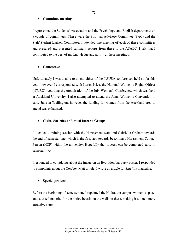#### • **Committee meetings**

I represented the Students' Association and the Psychology and English departments on a couple of committees. These were the Spiritual Advisory Committee (SAC) and the Staff-Student Liaison Committee. I attended one meeting of each of these committees and prepared and presented summary reports from these to the ASAEC. I felt that I contributed to the best of my knowledge and ability at these meetings.

#### • **Conferences**

Unfortunately I was unable to attend either of the NZUSA conferences held so far this year; however I corresponded with Karen Price, the National Women's Rights Officer (NWRO) regarding the organisation of the July Women's Conference, which was held at Auckland University. I also attempted to attend the Janus Women's Convention in early June in Wellington; however the funding for women from the Auckland area to attend was exhausted.

#### • **Clubs, Societies or Vested Interest Groups**

I attended a training session with the Harassment team and Gabrielle Graham towards the end of semester one, which is the first step towards becoming a Harassment Contact Person (HCP) within the university. Hopefully that process can be completed early in semester two.

I responded to complaints about the image on an Evolution bar party poster, I responded to complaints about the Cowboy Matt article. I wrote an article for *Satellite* magazine.

#### • **Special projects**

Before the beginning of semester one I repainted the Hudra, the campus women's space, and sourced material for the notice boards on the walls in there, making it a much more attractive room.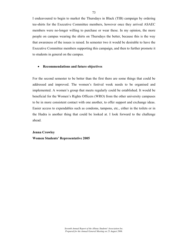I endeavoured to begin to market the Thursdays in Black (TIB) campaign by ordering tee-shirts for the Executive Committee members, however once they arrived ASAEC members were no-longer willing to purchase or wear these. In my opinion, the more people on campus wearing the shirts on Thursdays the better, because this is the way that awareness of the issues is raised. In semester two it would be desirable to have the Executive Committee members supporting this campaign, and then to further promote it to students in general on the campus.

#### • **Recommendations and future objectives**

For the second semester to be better than the first there are some things that could be addressed and improved. The women's festival week needs to be organised and implemented. A women's group that meets regularly could be established. It would be beneficial for the Women's Rights Officers (WRO) from the other university campuses to be in more consistent contact with one another, to offer support and exchange ideas. Easier access to expendables such as condoms, tampons, etc., either in the toilets or in the Hudra is another thing that could be looked at. I look forward to the challenge ahead.

# **Jenna Crowley Women Students' Representative 2005**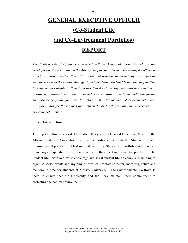# **GENERAL EXECUTIVE OFFICER (Co-Student Life and Co-Environment Portfolios) REPORT**

*The Student Life Portfolio is concerned with working with issues to help in the development of a social life on the Albany campus. In order to achieve this, the officer is to help organise activities that will provide and promote social activity on campus as well as work with the Events Manager to achieve better student life and on campus. The Environmental Portfolio is there to ensure that the University maintains its commitment to fostering sensitivity to its environmental responsibilities, investigate and lobby for the adoption of recycling facilities, be active in the development of environmental and transport plans for the campus and actively lobby local and national Government on environmental issues.* 

# • **Introduction**

This report outlines the work I have done this year as a General Executive Officer in the Albany Students' Association Inc., as the co-holder of both the Student life and Environmental portfolios. I had more ideas for the Student life portfolio and therefore found myself spending a lot more time on it than the Environmental portfolio. The Student life portfolio aims to encourage and assist student life on campus by helping to organise social events and anything else which promotes a better, more fun, active and memorable time for students at Massey University. The Environmental Portfolio is there to ensure that the University and the ASA maintain their commitment to protecting the natural environment.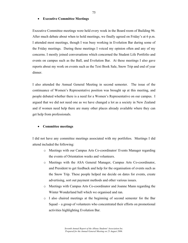## • **Executive Committee Meetings**

Executive Committee meetings were held every week in the Board room of Building 96. After much debate about when to hold meetings, we finally agreed on Friday's at 6 p.m. I attended most meetings, though I was busy working in Evolution Bar during some of the Friday meetings. During these meetings I voiced my opinion often and any of my concerns. I mostly joined conversations which concerned the Student Life Portfolio and events on campus such as the Ball, and Evolution Bar. At these meetings I also gave reports about my work on events such as the Text Book Sale, Snow Trip and end of year dinner.

I also attended the Annual General Meeting in second semester. The issue of the continuance of Women's Representative position was brought up at this meeting, and people debated whether there is a need for a Women's Representative on our campus. I argued that we did not need one as we have changed a lot as a society in New Zealand and if women need help there are many other places already available where they can get help from professionals.

# • **Committee meetings**

I did not have any committee meetings associated with my portfolios. Meetings I did attend included the following:

- o Meetings with our Campus Arts Co-coordinator/ Events Manager regarding the events of Orientation weeks and volunteers.
- o Meetings with the ASA General Manager, Campus Arts Co-coordinator, and President to get feedback and help for the organisation of events such as the Snow Trip. These people helped me decide on dates for events, create advertising, sort out payment methods and other various issues.
- o Meetings with Campus Arts Co-coordinator and Joanne Mann regarding the Winter Wonderland ball which we organised and ran.
- o I also chaired meetings at the beginning of second semester for the Bar Squad – a group of volunteers who concentrated their efforts on promotional activities highlighting Evolution Bar.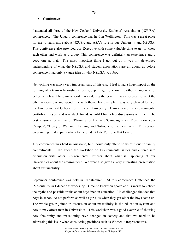#### • **Conferences**

I attended all three of the New Zealand University Students' Association (NZUSA) conferences. The January conference was held in Wellington. This was a great place for me to learn more about NZUSA and ASA's role in our University and NZUSA. This conference also provided our Executive with some valuable time to get to know each other and work as a group. This conference was definitely an experience and a good one at that. The most important thing I got out of it was my developed understanding of what the NZUSA and student associations are all about, as before conference I had only a vague idea of what NZUSA was about.

Networking was also a very important part of this trip. I feel it had a huge impact on the forming of a team relationship in our group. I got to know the other members a lot better, which will help make work easier during the year. It was also great to meet the other associations and spend time with them. For example, I was very pleased to meet the Environmental Officer from Lincoln University. I am sharing the environmental portfolio this year and was stuck for ideas until I had a few discussions with her. The best sessions for me were: 'Planning for Events', 'Campaigns and Projects on Your Campus'; 'Treaty of Waitangi' training, and 'Introduction to Feminism'. The session on planning related particularly to the Student Life Portfolio that I share.

July conference was held in Auckland, but I could only attend some of it due to family commitments. I did attend the workshop on Environmental issues and entered into discussion with other Environmental Officers about what is happening at our Universities about the environment. We were also given a very interesting presentation about sustainability.

September conference was held in Christchurch. At this conference I attended the 'Masculinity in Education' workshop. Graeme Ferguson spoke at this workshop about the myths and possible truths about boys/men in education. He challenged the idea that boys in school do not perform as well as girls, as when they get older the boys catch up. The whole group joined in discussion about masculinity in the education system and how it may affect men in Universities. This workshop was a good example of showing how femininity and masculinity have changed in society and that we need to be addressing this issue when considering positions such as Women's Representative.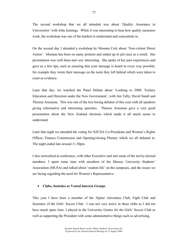The second workshop that we all attended was about 'Quality Assurance in Universities' with John Jennings. While it was interesting to hear how quality measures work, the workshop was one of the hardest to understand and concentrate in.

On the second day I attended a workshop by Monana Cole about 'Non-violent Direct Action'. Monana has been on many protests and ended up in jail once as a result. Her presentation was well done and very interesting. She spoke of her past experiences and gave us a few tips, such as ensuring that your message is heard in every way possible; for example they wrote their message on the tools they left behind which were taken to court as evidence.

Later that day, we watched the Panel Debate about 'Looking to 2008: Tertiary Education and Direction under the New Government', with Jim Tully, David Small and Therese Arseneau. This was one of the less boring debates of this year with all speakers giving informative and interesting speeches. Therese Arseneau gave a very good presentation about the New Zealand elections which made it all much easier to understand.

Later that night we attended the voting for NZUSA Co-Presidents and Women's Rights Officer, Finance Commission and Opening/closing Plenary which we all debated in. The night ended late around 11.30pm.

I also networked at conference, with other Executive and met some of the newly-elected members. I spent some time with members of the Massey University Students' Association (MUSA) and talked about 'student life' on the campuses, and the issues we are facing regarding the need for Women's Representative.

# • **Clubs, Societies or Vested Interest Groups**

This year I have been a member of the Alpine Adventure Club, Fight Club and Secretary of the Girls' Soccer Club. I was not very active in these clubs as I did not have much spare time. I played in the University Games for the Girls' Soccer Club as well as supporting the President with some administrative things such as advertising.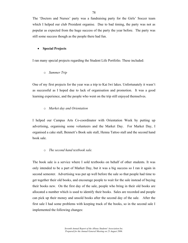The 'Doctors and Nurses' party was a fundraising party for the Girls' Soccer team which I helped our club President organise. Due to bad timing, the party was not as popular as expected from the huge success of the party the year before. The party was still some success though as the people there had fun.

# • **Special Projects**

I ran many special projects regarding the Student Life Portfolio. These included:

o *Summer Trip* 

One of my first projects for the year was a trip to Kai Iwi lakes. Unfortunately it wasn't as successful as I hoped due to lack of organisation and promotion. It was a good learning experience, and the people who went on the trip still enjoyed themselves.

# o *Market day and Orientation*

I helped our Campus Arts Co-coordinator with Orientation Week by putting up advertising, organising some volunteers and the Market Day. For Market Day, I organised a cake stall, Bennett's Book sale stall, Henna Tattoo stall and the second hand book sale.

# o *The second hand textbook sale.*

The book sale is a service where I sold textbooks on behalf of other students. It was only intended to be a part of Market Day, but it was a big success so I ran it again in second semester. Advertising was put up well before the sale so that people had time to get together their old books, and encourage people to wait for the sale instead of buying their books new. On the first day of the sale, people who bring in their old books are allocated a number which is used to identify their books. Sales are recorded and people can pick up their money and unsold books after the second day of the sale. After the first sale I had some problems with keeping track of the books, so in the second sale I implemented the following changes: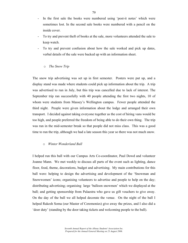- In the first sale the books were numbered using 'post-it notes' which were sometimes lost. In the second sale books were numbered with a pencil on the inside cover.
- To try and prevent theft of books at the sale, more volunteers attended the sale to keep watch.
- To try and prevent confusion about how the sale worked and pick up dates, verbal details of the sale were backed up with an information sheet.
	- o *The Snow Trip*

The snow trip advertising was set up in first semester. Posters were put up, and a display stand was made where students could pick up information about the trip. A trip was advertised to run in July, but this trip was cancelled due to lack of interest. The September trip ran successfully with 40 people attending the first two nights, 10 of whom were students from Massey's Wellington campus. Fewer people attended the third night. People were given information about the lodge and arranged their own transport. I decided against taking everyone together as the cost of hiring vans would be too high, and people preferred the freedom of being able to do their own thing. The trip was run in the mid-semester break so that people did not miss class. This was a good time to run the trip, although we had a late season this year so there was not much snow.

# o *Winter Wonderland Ball*

I helped run this ball with our Campus Arts Co-coordinator, Paul Dowd and volunteer Joanne Mann. We met weekly to discuss all parts of the event such as lighting, dance floor, food, theme, decorations, budget and advertising. My main contributions for this ball were: helping to design the advertising and development of the 'Snowman and Snowwomen' icons; organising volunteers to advertise and people to help on the day; distributing advertising; organising large 'balloon snowmen' which we displayed at the ball; and getting sponsorship from Palaestra who gave us gift vouchers to give away. On the day of the ball we all helped decorate the venue. On the night of the ball I helped Rakesh Soma (our Master of Ceremonies) give away the prizes, and I also did a 'door duty' (standing by the door taking tickets and welcoming people to the ball).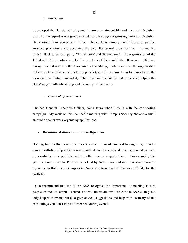# o *Bar Squad*

I developed the Bar Squad to try and improve the student life and events at Evolution bar. The Bar Squad was a group of students who began organising parties at Evolution Bar starting from Semester 2, 2005. The students came up with ideas for parties, arranged promotions and decorated the bar. Bar Squad organised the 'Fire and Ice party', 'Back to School' party, 'Tribal party' and 'Retro party'. The organisation of the Tribal and Retro parties was led by members of the squad other than me. Halfway through second semester the ASA hired a Bar Manager who took over the organisation of bar events and the squad took a step back (partially because I was too busy to run the group as I had initially intended). The squad and I spent the rest of the year helping the Bar Manager with advertising and the set up of bar events.

#### o *Car-pooling on campus*

I helped General Executive Officer, Neha Jaura when I could with the car-pooling campaign. My work on this included a meeting with Campus Security NZ and a small amount of paper work organising applications.

#### • **Recommendations and Future Objectives**

Holding two portfolios is sometimes too much. I would suggest having a major and a minor portfolio. If portfolios are shared it can be easier if one person takes main responsibility for a portfolio and the other person supports them. For example, this year the Environmental Portfolio was held by Neha Jaura and me. I worked more on my other portfolio, so just supported Neha who took most of the responsibility for the portfolio.

I also recommend that the future ASA recognise the importance of meeting lots of people on and off campus. Friends and volunteers are invaluable in the ASA as they not only help with events but also give advice, suggestions and help with so many of the extra things you don't think of or expect during events.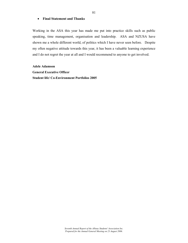# • **Final Statement and Thanks**

Working in the ASA this year has made me put into practice skills such as public speaking, time management, organisation and leadership. ASA and NZUSA have shown me a whole different world, of politics which I have never seen before. Despite my often negative attitude towards this year, it has been a valuable learning experience and I do not regret the year at all and I would recommend to anyone to get involved.

**Adele Adamson General Executive Officer Student life/ Co-Environment Portfolios 2005**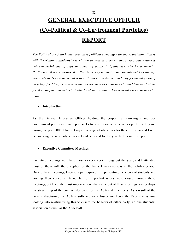# **GENERAL EXECUTIVE OFFICER (Co-Political & Co-Environment Portfolios) REPORT**

*The Political portfolio holder organises political campaigns for the Association, liaises with the National Students' Association as well as other campuses to create networks between stakeholder groups on issues of political significance. The Environmental Portfolio is there to ensure that the University maintains its commitment to fostering sensitivity to its environmental responsibilities, investigate and lobby for the adoption of recycling facilities, be active in the development of environmental and transport plans for the campus and actively lobby local and national Government on environmental issues.* 

# • **Introduction**

As the General Executive Officer holding the co-political campaigns and coenvironment portfolios, this report seeks to cover a range of activities performed by me during the year 2005. I had set myself a range of objectives for the entire year and I will be covering the set of objectives set and achieved for the year further in this report.

#### • **Executive Committee Meetings**

Executive meetings were held mostly every week throughout the year, and I attended most of them with the exception of the times I was overseas in the holiday period. During these meetings, I actively participated in representing the views of students and voicing their concerns. A number of important issues were raised through these meetings, but I feel the most important one that came out of these meetings was perhaps the structuring of the contract designed for the ASA staff members. As a result of the current structuring, the ASA is suffering some losses and hence the Executive is now looking into re-structuring this to ensure the benefits of either party, i.e. the students' association as well as the ASA staff.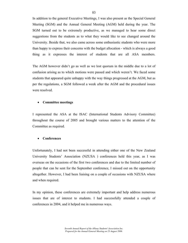In addition to the general Executive Meetings, I was also present as the Special General Meeting (SGM) and the Annual General Meeting (AGM) held during the year. The SGM turned out to be extremely productive, as we managed to hear some direct suggestions from the students as to what they would like to see changed around the University. Beside that, we also came across some enthusiastic students who were more than happy to express their concerns with the budget allocation - which is always a good thing as it expresses the interest of students that are all ASA members.

The AGM however didn't go as well as we lost quorum in the middle due to a lot of confusion arising as to which motions were passed and which weren't. We faced some students that appeared quite unhappy with the way things progressed at the AGM, but as per the regulations, a SGM followed a week after the AGM and the procedural issues were resolved.

#### • **Committee meetings**

I represented the ASA at the ISAC (International Students Advisory Committee) throughout the course of 2005 and brought various matters to the attention of the Committee as required.

#### • **Conferences**

Unfortunately, I had not been successful in attending either one of the New Zealand University Students' Association (NZUSA ) conferences held this year, as I was overseas on the occasions of the first two conferences and due to the limited number of people that can be sent for the September conference, I missed out on the opportunity altogether. However, I had been liaising on a couple of occasions with NZUSA where and when required.

In my opinion, these conferences are extremely important and help address numerous issues that are of interest to students. I had successfully attended a couple of conferences in 2004, and it helped me in numerous ways.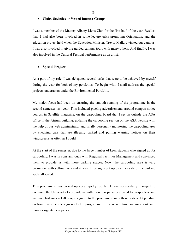#### • **Clubs, Societies or Vested Interest Groups**

I was a member of the Massey Albany Lions Club for the first half of the year. Besides that, I had also been involved in some lecture talks promoting Orientation, and the education protest held when the Education Minister, Trevor Mallard visited our campus. I was also involved in giving guided campus tours with many others. And finally, I was also involved in the Cultural Festival performance as an artist.

## • **Special Projects**

As a part of my role, I was delegated several tasks that were to be achieved by myself during the year for both of my portfolios. To begin with, I shall address the special projects undertaken under the Environmental Portfolio.

My major focus had been on ensuring the smooth running of the programme in the second semester last year. This included placing advertisements around campus notice boards, in Satellite magazine, on the carpooling board that I set up outside the ASA office in the Atrium building, updating the carpooling section on the ASA website with the help of our web administrator and finally personally monitoring the carpooling area by checking cars that are illegally parked and putting warning notices on their windscreens as often as I could.

At the start of the semester, due to the large number of keen students who signed up for carpooling, I was in constant touch with Regional Facilities Management and convinced them to provide us with more parking spaces. Now, the carpooling area is very prominent with yellow lines and at least three signs put up on either side of the parking spots allocated.

This programme has picked up very rapidly. So far, I have successfully managed to convince the University to provide us with more car parks dedicated to car-poolers and we have had over a 150 people sign up to the programme in both semesters. Depending on how many people sign up to the programme in the near future, we may look into more designated car parks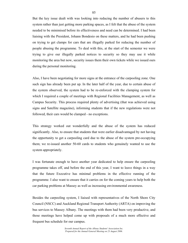But the key issue dealt with was looking into reducing the number of abusers to this system rather than just getting more parking spaces, as I felt that the abuse of the system needed to be minimised before its effectiveness and need can be determined. I had been liaising with the President, Johann Bondesio on these matters, and he had been pushing on trying to get clamps for cars that are illegally parked for reducing the number of people abusing the programme. To deal with this, at the start of the semester we were trying to give our illegally parked notices to security so they may use it while monitoring the area but now, security issues them their own tickets while we issued ours during the personal monitoring.

Also, I have been negotiating for more signs at the entrance of the carpooling zone. One such sign has already been put up. In the later half of the year, due to certain abuse of the system observed, the system had to be re-enforced with the clamping system for which I required a couple of meetings with Regional Facilities Management, as well as Campus Security. This process required plenty of advertising (that was achieved using signs and Satellite magazine), informing students that if the new regulations were not followed, their cars would be clamped - no exceptions.

This strategy worked out wonderfully and the abuse of the system has reduced significantly. Also, to ensure that students that were earlier disadvantaged by not having the opportunity to get a carpooling card due to the abuse of the system pre-occupying them; we re-issued another 50-60 cards to students who genuinely wanted to use the system appropriately.

I was fortunate enough to have another year dedicated to help ensure the carpooling programme takes off, and before the end of this year, I want to leave things in a way that the future Executive has minimal problems in the effective running of the programme. I also want to ensure that it carries on for the coming years to help both the car parking problems at Massey as well as increasing environmental awareness.

Besides the carpooling system, I liaised with representatives of the North Shore City Council (NSCC) and Auckland Regional Transport Authority (ARTA) on improving the bus services to Massey Albany. The meetings with them had been very productive, and those meetings have helped come up with proposals of a much more effective and frequent bus schedule for our campus.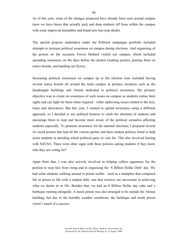As of this year, some of the changes proposed have already been seen around campus (now we have buses that actually pick and drop students off from within the campus with some improved timetables and brand new bus-stop sheds).

The special projects undertaken under the Political campaigns portfolio included attempts to increase political awareness on campus during elections. And organising of the protest on the occasion Trevor Mallard visited our campus, which included spreading awareness on the days before the protest (making posters, posting them on notice boards, and handing out flyers).

Increasing political awareness on campus up to the election time included having several notice boards all around the main campus in primary locations such as the Quadrangle buildings and Atrium dedicated to political awareness. My primary objective was to create an awareness of such issues on campus so students realise their rights and can fight for them when required - while addressing issues related to the fees, loans and allowances. But this year, I wanted to spread awareness using a different approach, so I decided to use political humour to catch the attention of students and encourage them to stop and become more aware of the political scenarios affecting students especially. To promote awareness for the national elections, I prepared several A1-sized posters that had all the various parties and their student policies listed to help assist students in deciding which political party to vote for. This also involved liaising with NZUSA. There were other signs with these policies asking students if they know who they are voting for?

Apart from that, I was also actively involved in helping collect signatures for the petition to stop fees from rising and in organising the '8 Billion Dollar Debt' day. We had some students walking around in prison outfits - used as a metaphor that compared life in prison to life with a student debt -one that restricts our movement in achieving what we desire to in life. Besides that, we had an 8 Billion Dollar day cake and a barbeque running alongside. A mock prison was also arranged to be outside the Atrium building, but due to the horrible weather conditions, the barbeque and mock prison weren't much of a success.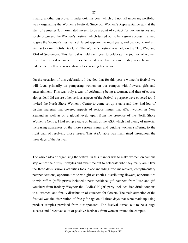Finally, another big project I undertook this year, which did not fall under my portfolio, was - organizing the Women's Festival. Since our Women's Representative quit at the start of Semester 2, I nominated myself to be a point of contact for women issues and solely organised the Women's Festival which turned out to be a great success. I aimed to give the Women's Festival a different approach to most years, and decided to make it similar to a mini 'Girls Day Out'. The Women's Festival was held on the 21st, 22nd and 23rd of September. This festival is held each year to celebrate the journey of women from the orthodox ancient times to what she has become today -her beautiful, independent self who is not afraid of expressing her views.

On the occasion of this celebration, I decided that for this year's women's festival-we will focus primarily on pampering women on our campus with flowers, gifts and entertainment. This was truly a way of celebrating being a woman, and then of course alongside, I did ensure other serious aspects of the festival's purpose were covered too. I invited the North Shore Women's Centre to come set up a table and they had lots of display material that covered aspects of serious issues that affect women in New Zealand as well as on a global level. Apart from the presence of the North Shore Women's Centre, I had set up a table on behalf of the ASA which had plenty of material increasing awareness of the more serious issues and guiding women suffering to the right path of resolving those issues. This ASA table was maintained throughout the three days of the festival.

The whole idea of organising the festival in this manner was to make women on campus step out of their busy lifestyles and take time out to celebrate who they really are. Over the three days, various activities took place including free makeovers, complimentary pamper sessions, opportunities to win gift cosmetics, distributing flowers, opportunities to win raffles (raffle prizes included a pearl necklace, gift hampers from Lush and gift vouchers from Rodney Wayne); the 'Ladies' Night' party included free drink coupons to all women, and finally distribution of vouchers for flowers. The main attraction of the festival was the distribution of free gift bags on all three days that were made up using product samples provided from our sponsors. The festival turned out to be a huge success and I received a lot of positive feedback from women around the campus.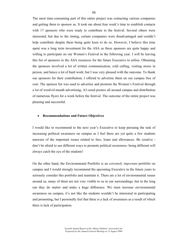The most time-consuming part of this entire project was contacting various companies and getting them to sponsor us. It took me about four week's time to establish contacts with 17 sponsors who were ready to contribute to the festival. Several others were interested, but due to the timing, certain companies were disadvantaged and couldn't help contribute despite them being quite keen to do so. However, I believe this time spent was a long term investment for the ASA as these sponsors are quite happy and willing to participate on our Women's Festival in the following year. I will be leaving this list of sponsors in the ASA resources for the future Executive to utilise. Obtaining the sponsors involved a lot of written communication, cold calling, visiting stores in person, and hence a lot of hard work; but I was very pleased with the outcome. To thank our sponsors for their contribution, I offered to advertise them on our campus free of cost. The sponsor list was used to advertise and promote the Women's Festival through a lot of word-of-mouth advertising, A3-sized posters all around campus and distribution of numerous flyers for a week before the festival. The outcome of the entire project was pleasing and successful.

#### • **Recommendations and Future Objectives**

I would like to recommend to the next year's Executive to keep pursuing the task of increasing political awareness on campus as I feel there are yet quite a few students unaware of the important issues related to fees, loans and allowances. Be creative don't be afraid to use different ways to promote political awareness- being different will always catch the eye of the students!

On the other hand, the Environmental Portfolio is an *extremely important* portfolio on campus and I would strongly recommend the upcoming Executive in the future years to seriously consider this portfolio and maintain it. There are a lot of environmental issues around us, many of them are not very visible to us in our surroundings, but in the long run they do matter and make a huge difference. We must increase environmental awareness on campus, it's not like the students wouldn't be interested in participating and promoting, but I personally feel that there is a lack of awareness as a result of which there is lack of participation.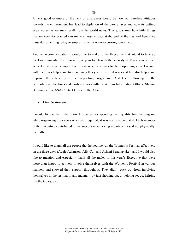A very good example of the lack of awareness would be how our carefree attitudes towards the environment has lead to depletion of the ozone layer and now its getting even worse, as we may recall from the world news. This just shows how little things that we take for granted can make a large impact at the end of the day and hence we must do something today to stop extreme disasters occurring tomorrow.

Another recommendation I would like to make to the Executive that intend to take up the Environmental Portfolio is to keep in touch with the security at Massey as we can get a lot of valuable input from them when it comes to the carpooling area. Liaising with them has helped me tremendously this year in several ways and has also helped me improve the efficiency of the carpooling programme. And keep following up the carpooling applications and cards scenario with the Atrium Information Officer, Shauna Bergman at the ASA Contact Office in the Atrium.

#### • **Final Statement**

I would like to thank the entire Executive for spending their quality time helping me while organising my events whenever required; it was really appreciated. Each member of the Executive contributed to my success in achieving my objectives, if not physically, mentally.

I would like to thank all the people that helped me run the Women's Festival effectively on the three days (Adele Adamson, Ally Cui, and Ashani Senanayake), and I would also like to mention and especially thank all the males in this year's Executive that were more than happy to actively involve themselves with the Women's Festival in various manners and showed their support throughout. They didn't back out from involving themselves in the festival in any manner - by just showing up, or helping set up, helping run the tables, etc.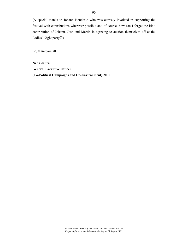(A special thanks to Johann Bondesio who was actively involved in supporting the festival with contributions wherever possible and of course, how can I forget the kind contribution of Johann, Josh and Martin in agreeing to auction themselves off at the Ladies' Night party☺).

So, thank you all.

**Neha Jaura General Executive Officer (Co-Political Campaigns and Co-Environment) 2005**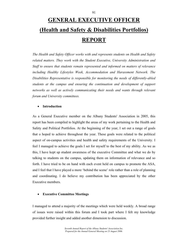# **GENERAL EXECUTIVE OFFICER (Health and Safety & Disabilities Portfolios) REPORT**

*The Health and Safety Officer works with and represents students on Health and Safety related matters. They work with the Student Executive, University Administration and Staff to ensure that students remain represented and informed on matters of relevance*  including Healthy Lifestyles Week, Accommodation and Harassment Network. The *Disabilities Representative is responsible for monitoring the needs of differently-abled students at the campus and ensuring the continuation and development of support networks as well as actively communicating their needs and wants through relevant forum and University committees.* 

# • **Introduction**

As a General Executive member on the Albany Students' Association in 2005, this report has been compiled to highlight the areas of my work pertaining to the Health and Safety and Political Portfolios. At the beginning of the year, I set out a range of goals that o hoped to achieve throughout the year. These goals were related to the political aspect of on-campus activities and health and safety requirements of the University. I feel I managed to achieve the goals I set for myself to the best of my ability. As we as this, I have kept up student awareness of the executive Committee and what we do by talking to students on the campus, updating them on information of relevance and so forth. I have tried to be on hand with each event held on campus to promote the ASA, and I feel that I have played a more 'behind the scene' role rather than a role of planning and coordinating. I do believe my contribution has been appreciated by the other Executive members.

#### • **Executive Committee Meetings**

I managed to attend a majority of the meetings which were held weekly. A broad range of issues were raised within this forum and I took part where I felt my knowledge provided further insight and added another dimension to discussion.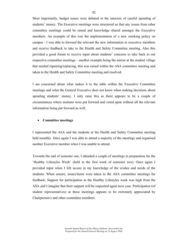Most importantly, budget issues were debated in the interests of careful spending of students' money. The Executive meetings were structured so that any issues from other committee meetings could be raised and knowledge shared amongst the Executive members. An example of this was the implementation of a new smoking policy on campus - I was able to forward the relevant the new information to executive members and receive feedback to take to the Health and Safety Committee meeting. Also this provided a good forum to receive input about students' concerns to take back to our respective committee meetings – another example being the mirror at the student village that needed repairing/replacing, this was raised within the ASA committee meeting and taken to the Health and Safety Committee meeting and resolved.

I am concerned about what makes it to the table within the Executive Committee meetings and what the General Executive does not know when making decisions about spending students' money. I only raise this as there appears to be a couple of circumstances where motions were put forward and voted upon without all the relevant information being put forward as well.

#### • **Committee meetings**

I represented the ASA and the students at the Health and Safety Committee meeting held monthly. Once again I was able to attend a majority of the meetings and organised another Executive member when I was unable to attend.

Towards the end of semester one, I attended a couple of meetings in preparation for the 'Healthy Lifestyles Week' (held in the first week of semester two). Once again I provided input when I felt secure in my knowledge of the wishes and needs of the students. When unsure, issues/items were taken to the ASA committee meetings for feedback. Support for participation in the Healthy Lifestyles week was high from the ASA and I imagine that their support will be requested again next year. Participation (of student representatives) at these meetings appears to be extremely appreciated by Chairperson/s and other committee members.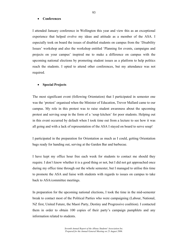#### • **Conferences**

I attended January conference in Wellington this year and view this as an exceptional experience that helped evolve my ideas and attitude as a member of the ASA. I especially took on board the issues of disabled students on campus from the 'Disability Issues' workshop and also the workshop entitled 'Planning for events, campaigns and projects on your campus' inspired me to make a difference on campus with the upcoming national elections by promoting student issues as a platform to help politics reach the students. I opted to attend other conferences, but my attendance was not required.

#### • **Special Projects**

The most significant event (following Orientation) that I participated in semester one was the 'protest' organised when the Minister of Education, Trevor Mallard came to our campus. My role in this protest was to raise student awareness about the upcoming protest and serving soup in the form of a 'soup kitchen' for poor students. Helping out in this event occurred by default when I took time out from a lecture to see how it was all going and with a lack of representation of the ASA I stayed on board to serve soup!

I participated in the preparation for Orientation as much as I could, getting Orientation bags ready for handing out, serving at the Garden Bar and barbecue.

I have kept my office hour free each week for students to contact me should they require. I don't know whether it is a good thing or not, but I did not get approached once during my office time through out the whole semester, but I managed to utilise this time to promote the ASA and liaise with students with regards to issues on campus to take back to ASA/committee meetings.

In preparation for the upcoming national elections, I took the time in the mid-semester break to contact most of the Political Parties who were campaigning (Labour, National, NZ first, United Future, the Maori Party, Destiny and Progressive coalition). I contacted them in order to obtain 100 copies of their party's campaign pamphlets and any information related to students.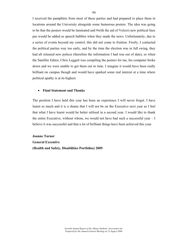I received the pamphlets from most of these parties and had prepared to place them in locations around the University alongside some humorous posters. The idea was going to be that the posters would be laminated and 9with the aid of Velcro) new political faux pas would be added as speech bubbles when they made the news. Unfortunately, due to a series of events beyond my control, this did not come to fruition. Firstly, I contacted the political parties way too early, and by the time the election was in full swing, they had all released new polices (therefore the information I had was out of date), so when the Satellite Editor, Chris Leggett was compiling the posters for me, his computer broke down and we were unable to get them out in time. I imagine it would have been really brilliant on campus though and would have sparked some real interest at a time where political apathy is at its highest.

#### • **Final Statement and Thanks**

The position I have held this year has been an experience I will never forget. I have learnt so much and it is a shame that I will not be on the Executive next year as I feel that what I have learnt would be better utilised in a second year. I would like to thank the entire Executive, without whom, we would not have had such a successful year  $-1$ believe it was successful and that a lot of brilliant things have been achieved this year.

**Joanne Turner General Executive (Health and Safety, Disabilities Portfolios) 2005**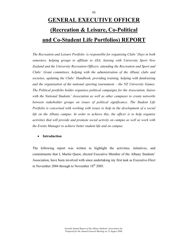# **GENERAL EXECUTIVE OFFICER (Recreation & Leisure, Co-Political and Co-Student Life Portfolios) REPORT**

*The Recreation and Leisure Portfolio is responsible for organising Clubs' Days in both semesters, helping groups to affiliate to ASA, liaising with University Sport New Zealand and the University Recreation Officers, attending the Recreation and Sport and Clubs' Grant committees, helping with the administration of the Albany clubs and societies, updating the Clubs' Handbook, providing training, helping with fundraising and the organisation of the national sporting tournament – the NZ University Games. The Political portfolio holder organises political campaigns for the Association, liaises with the National Students' Association as well as other campuses to create networks between stakeholder groups on issues of political significance. The Student Life Portfolio is concerned with working with issues to help in the development of a social life on the Albany campus. In order to achieve this, the officer is to help organise activities that will provide and promote social activity on campus as well as work with the Events Manager to achieve better student life and on campus.* 

# • **Introduction**

The following report was written to highlight the activities, initiatives, and commitments that I, Martin Quest, elected Executive Member of the Albany Students' Association, have been involved with since undertaking my first task as Executive-Elect in November 2004 through to November  $18<sup>th</sup>$  2005.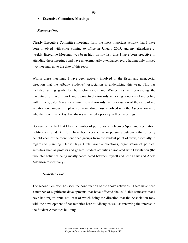## • **Executive Committee Meetings**

## *Semester One:*

Clearly Executive Committee meetings form the most important activity that I have been involved with since coming to office in January 2005, and my attendance at weekly Executive Meetings was been high on my list, thus I have been proactive in attending these meetings and have an exemplarily attendance record having only missed two meetings up to the date of this report.

Within these meetings, I have been actively involved in the fiscal and managerial direction that the Albany Students' Association is undertaking this year. This has included setting goals for both Orientation and Winter Festival, persuading the Executive to make it work more proactively towards achieving a non-smoking policy within the greater Massey community, and towards the reevaluation of the car parking situation on campus. Emphasis on reminding those involved with the Association as to who their core market is, has always remained a priority in these meetings.

Because of the fact that I have a number of portfolios which cover Sport and Recreation, Politics and Student Life, I have been very active in pursuing outcomes that directly benefit each of the aforementioned groups from the student point of view, especially in regards to planning Clubs' Days, Club Grant applications, organisation of political activities such as protests and general student activities associated with Orientation (the two later activities being mostly coordinated between myself and Josh Clark and Adele Adamson respectively).

#### *Semester Two:*

The second Semester has seen the continuation of the above activities. There have been a number of significant developments that have affected the ASA this semester that I have had major input, not least of which being the direction that the Association took with the development of bar facilities here at Albany as well as renewing the interest in the Student Amenities building.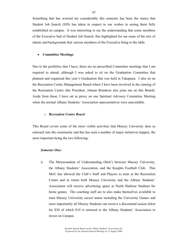Something that has worried my considerably this semester has been the stance that Student Job Search (SJS) has taken in respect to our wishes in seeing them fully established on campus. It was interesting to see the understanding that some members of the Executive had of Student Job Search; this highlighted for me some of the mix of talents and backgrounds that various members of the Executive bring to the table.

#### • **Committee Meetings**

Due to the portfolios that I have, there are no prescribed Committee meetings that I am required to attend, although I was asked to sit on the Graduation Committee that planned and organised this year's Graduation that was held in Takapuna. I also sit on the Recreation Centre Management Board where I have been involved in the running of the Recreation Centre (the President, Johann Bondesio also joins me on this Board). Aside from these, I have sat as proxy on one Spiritual Advisory Committee Meeting when the normal Albany Students' Association representatives were unavailable.

#### o *Recreation Centre Board*

This Board covers some of the most visible activities that Massey University does as outreach into the community and this has seen a number of major initiatives happen, the most important being the two following:

## *Semester One:*

i) The Memorandum of Understanding (MoU) between Massey University, the Albany Students' Association, and the Knights Football Club. This MoU has allowed the Club's Staff and Players to train at the Recreation Centre and in return both Massey University and the Albany Students' Association will receive advertising space at North Harbour Stadium for home games. The coaching staff are to also make themselves available to train Massey University soccer teams including the University Games and most importantly all Massey Students can receive a discounted season ticket for \$30 of which \$10 is returned to the Albany Students' Association to invest on Campus.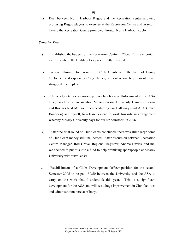ii) Deal between North Harbour Rugby and the Recreation centre allowing promising Rugby players to exercise at the Recreation Centre and in return having the Recreation Centre promoted through North Harbour Rugby.

# *Semester Two:*

- i) Established the budget for the Recreation Centre in 2006. This is important as this is where the Building Levy is currently directed.
- ii) Worked through two rounds of Club Grants with the help of Danny O'Donnell and especially Craig Hunter, without whose help I would have struggled to complete.
- iii) University Games sponsorship. As has been well-documented the ASA this year chose to not mention Massey on our University Games uniforms and this has lead MUSA (Spearheaded by Ian Galloway) and ASA (Johan Bondesio) and myself, to a lesser extent, to work towards an arrangement whereby Massey University pays for our strip/uniform in 2006.
- iv) After the final round of Club Grants concluded, there was still a large some of Club Grant money still unallocated. After discussion between Recreation Centre Manager, Rod Grove, Regional Registrar, Andrea Davies, and me, we decided to put this into a fund to help promising sportspeople at Massey University with travel costs.
- *v)* Establishment of a Clubs Development Officer position for the second Semester 2005 to be paid 50/50 between the University and the ASA to carry on the work that I undertook this year. This is a significant development for the ASA and will see a huge improvement in Club facilities and administration here at Albany*.*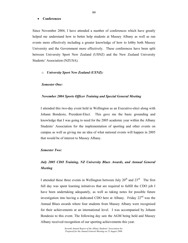#### • **Conferences**

Since November 2004, I have attended a number of conferences which have greatly helped me understand how to better help students at Massey Albany as well as run events more effectively including a greater knowledge of how to lobby both Massey University and the Government more effectively. These conferences have been split between University Sport New Zealand (USNZ) and the New Zealand University Students' Association (NZUSA).

#### o *University Sport New Zealand (USNZ):*

#### *Semester One:*

#### *November 2004 Sports Officer Training and Special General Meeting*

I attended this two-day event held in Wellington as an Executive-elect along with Johann Bondesio, President-Elect. This gave me the basic grounding and knowledge that I was going to need for the 2005 academic year within the Albany Students' Association for the implementation of sporting and other events on campus as well as giving me an idea of what national events will happen in 2005 that would be of interest to Massey Albany.

## *Semester Two:*

# *July 2005 CDO Training, NZ University Blues Awards, and Annual General Meeting*

I attended these three events in Wellington between July  $20<sup>th</sup>$  and  $23<sup>rd</sup>$  The first full day was spent learning initiatives that are required to fulfill the CDO job I have been undertaking adequately, as well as taking notes for possible future investigation into having a dedicated CDO here at Albany. Friday  $22<sup>nd</sup>$  was the Annual Blues awards where four students from Massey Albany were recognised for their achievements at an international level. I was accompanied by Johann Bondesio to this event. The following day saw the AGM being held and Massey Albany received recognition of our sporting achievements this year.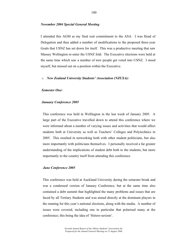#### *November 2004 Special General Meeting*

I attended this AGM as my final real commitment to the ASA. I was Head of Delegation and thus added a number of modifications to the proposed three-year Goals that USNZ has set down for itself. This was a productive meeting that saw Massey Wellington re-enter the USNZ fold. The Executive elections were held at the same time which saw a number of new people get voted into USNZ. I stood myself, but missed out on a position within the Executive.

#### o *New Zealand University Students' Association (NZUSA):*

#### *Semester One:*

#### *January Conference 2005*

This conference was held in Wellington in the last week of January 2005. A large part of the Executive travelled down to attend this conference where we were informed about a number of varying issues and activities that would affect students both at University as well as Teachers' Colleges and Polytechnics in 2005. This resulted in networking both with other student politicians, but also more importantly with politicians themselves. I personally received a far greater understanding of the implications of student debt both to the students, but more importantly to the country itself from attending this conference.

#### *June Conference 2005*

This conference was held at Auckland University during the semester break and was a condensed version of January Conference, but at the same time also contained a debt summit that highlighted the many problems and issues that are faced by all Tertiary Students and was aimed directly at the dominant players in the running for this year's national elections, along with the media. A number of issues were covered, including one in particular that polarised many at the conference; this being the idea of 'Hetero-sexism'.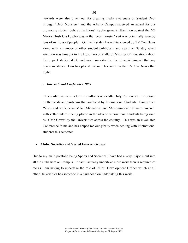Awards were also given out for creating media awareness of Student Debt through "Debt Monsters" and the Albany Campus received an award for our promoting student debt at the Lions' Rugby game in Hamilton against the NZ Maoris (Josh Clark, who was in the 'debt monster' suit was potentially seen by tens of millions of people). On the first day I was interviewed by TV One News along with a number of other student politicians and again on Sunday when attention was brought to the Hon. Trevor Mallard (Minister of Education) about the impact student debt, and more importantly, the financial impact that my generous student loan has placed me in. This aired on the TV One News that night.

# o *International Conference 2005*

This conference was held in Hamilton a week after July Conference. It focused on the needs and problems that are faced by International Students. Issues from 'Visas and work permits' to 'Alienation' and 'Accommodation' were covered, with vetted interest being placed in the idea of International Students being used as "Cash Cows" by the Universities across the country. This was an invaluable Conference to me and has helped me out greatly when dealing with international students this semester.

#### • **Clubs, Societies and Vested Interest Groups**

Due to my main portfolio being Sports and Societies I have had a very major input into all the clubs here on Campus. In fact I actually undertake more work then is required of me as I am having to undertake the role of Clubs' Development Officer which at all other Universities has someone in a paid position undertaking this work.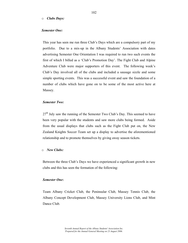#### o *Clubs Days:*

#### *Semester One:*

This year has seen me run three Club's Days which are a compulsory part of my portfolio. Due to a mix-up in the Albany Students' Association with dates advertising Semester One Orientation I was required to run two such events the first of which I billed as a 'Club's Promotion Day'. The Fight Club and Alpine Adventure Club were major supporters of this event. The following week's Club's Day involved all of the clubs and included a sausage sizzle and some simple sporting events. This was a successful event and saw the foundation of a number of clubs which have gone on to be some of the most active here at Massey.

#### *Semester Two:*

 $27<sup>th</sup>$  July saw the running of the Semester Two Club's Day. This seemed to have been very popular with the students and saw more clubs being formed. Aside from the usual displays that clubs such as the Fight Club put on, the New Zealand Knights Soccer Team set up a display to advertise the aforementioned relationship and to promote themselves by giving away season tickets.

#### o *New Clubs:*

Between the three Club's Days we have experienced a significant growth in new clubs and this has seen the formation of the following:

#### *Semester One***:**

Team Albany Cricket Club, the Peninsular Club, Massey Tennis Club, the Albany Concept Development Club, Massey University Lions Club, and Mint Dance Club.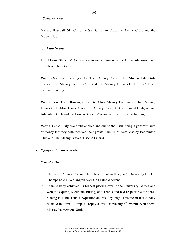#### *Semester Two:*

Massey Baseball, Ski Club, the Sail Christian Club, the Anime Club, and the Movie Club.

# o *Club Grants:*

The Albany Students' Association in association with the University runs three rounds of Club Grants.

*Round One*: The following clubs; Team Albany Cricket Club, Student Life, Girls Soccer 101, Massey Tennis Club and the Massey University Lions Club all received funding.

*Round Two:* The following clubs; Ski Club, Massey Badminton Club, Massey Tennis Club, Mint Dance Club, The Albany Concept Development Club, Alpine Adventure Club and the Korean Students' Association all received funding.

*Round Three*: Only two clubs applied and due to their still being a generous sum of money left they both received their grants. The Clubs were Massey Badminton Club and The Albany Braves (Baseball Club).

# • *Significant Achievements:*

#### *Semester One:*

- o The Team Albany Cricket Club placed third in this year's University Cricket Champs held in Wellington over the Easter Weekend.
- o Team Albany achieved its highest placing ever in the University Games and won the Squash, Mountain Biking, and Tennis and had respectable top three placing in Table Tennis, Aquathon and road cycling. This meant that Albany retained the Small Campus Trophy as well as placing  $6<sup>th</sup>$  overall, well above Massey Palmerston North.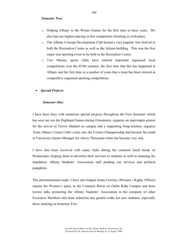# *Semester Two:*

- o Helping Albany to the Winter Games for the first time in three years. We also had our highest placing in this competition finishing in sixth place.
- o The Albany Concept Development Club hosted a very popular Arts festival in both the Recreation Centre as well as the Atrium building. This was the first major non-sporting event to be held in the Recreation Centre.
- o Two Massey sports clubs have entered important organised local competitions over the 05/06 summer, the first time that this has happened at Albany and the first time in a number of years that a team has been entered in competitive organised sporting competitions.
- *Special Projects*

## *Semester One:*

I have been busy with numerous special projects throughout the First Semester which has seen me run the Highland Games during Orientation, organise an impromptu protest for the arrival of Trevor Mallard on campus and a supporting Soup kitchen, organise Team Albany Cricket Club's entry into the Cricket Championship and became the stand in University Games Manager for Alexis Thuynsma when she became very sick.

I have also been involved with many clubs during the common lunch break on Wednesdays helping them to advertise their services to students as well as manning the mandatory Albany Students' Association stall pushing our services and political pamphlets.

The aforementioned aside, I have also helped Jenna Crowley (Women's Rights Officer) repaint the Women's space in the Common Room on Oteha Rohe Campus and done lecture talks promoting the Albany Students' Association in the company of other Executive Members and done induction day guided walks for new students, especially those studying in Semester Two.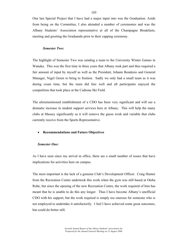One last Special Project that I have had a major input into was the Graduation. Aside from being on the Committee, I also attended a number of ceremonies and was the Albany Students' Association representative at all of the Champagne Breakfasts, meeting and greeting the Graduands prior to their capping ceremony.

#### *Semester Two:*

The highlight of Semester Two was sending a team to the University Winter Games in Wanaka. This was the first time in three years that Albany took part and thus required a fair amount of input by myself as well as the President, Johann Bondesio and General Manager, Nigel Green to bring to fruition. Sadly we only had a small team as it was during exam time, but the team did fare well and all participants enjoyed the competition that took place at the Cadrona Ski Field.

The aforementioned establishment of a CDO has been very significant and will see a dramatic increase in student support services here at Albany. This will help the many clubs at Massey significantly as it will remove the guess work and variable that clubs currently receive from the Sports Representative.

#### • **Recommendations and Future Objectives**

#### *Semester One:*

As I have seen since my arrival in office, there are a small number of issues that have implications for activities here on campus.

The most important is the lack of a genuine Club's Development Officer. Craig Hunter from the Recreation Centre undertook this work when the gym was still based at Oteha Rohe, but since the opening of the new Recreation Centre, the work required of him has meant that he is unable to do this any longer. Thus I have become Albany's unofficial CDO with his support, but the work required is simply too onerous for someone who is not employed to undertake it satisfactorily. I feel I have achieved some great outcomes, but could do better still.